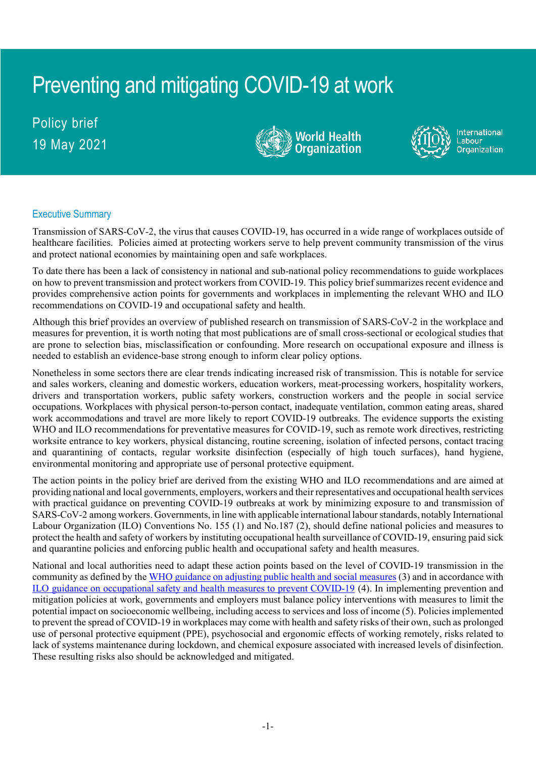# Preventing and mitigating COVID-19 at work

Policy brief 19 May 2021





International Labour Organization

# Executive Summary

Transmission of SARS-CoV-2, the virus that causes COVID-19, has occurred in a wide range of workplaces outside of healthcare facilities. Policies aimed at protecting workers serve to help prevent community transmission of the virus and protect national economies by maintaining open and safe workplaces.

To date there has been a lack of consistency in national and sub-national policy recommendations to guide workplaces on how to prevent transmission and protect workers from COVID-19. This policy brief summarizes recent evidence and provides comprehensive action points for governments and workplaces in implementing the relevant WHO and ILO recommendations on COVID-19 and occupational safety and health.

Although this brief provides an overview of published research on transmission of SARS-CoV-2 in the workplace and measures for prevention, it is worth noting that most publications are of small cross-sectional or ecological studies that are prone to selection bias, misclassification or confounding. More research on occupational exposure and illness is needed to establish an evidence-base strong enough to inform clear policy options.

Nonetheless in some sectors there are clear trends indicating increased risk of transmission. This is notable for service and sales workers, cleaning and domestic workers, education workers, meat-processing workers, hospitality workers, drivers and transportation workers, public safety workers, construction workers and the people in social service occupations. Workplaces with physical person-to-person contact, inadequate ventilation, common eating areas, shared work accommodations and travel are more likely to report COVID-19 outbreaks. The evidence supports the existing WHO and ILO recommendations for preventative measures for COVID-19, such as remote work directives, restricting worksite entrance to key workers, physical distancing, routine screening, isolation of infected persons, contact tracing and quarantining of contacts, regular worksite disinfection (especially of high touch surfaces), hand hygiene, environmental monitoring and appropriate use of personal protective equipment.

The action points in the policy brief are derived from the existing WHO and ILO recommendations and are aimed at providing national and local governments, employers, workers and their representatives and occupational health services with practical guidance on preventing COVID-19 outbreaks at work by minimizing exposure to and transmission of SARS-CoV-2 among workers. Governments, in line with applicable international labour standards, notably International Labour Organization (ILO) Conventions [No. 155](https://www.ilo.org/dyn/normlex/en/f?p=NORMLEXPUB:12100:0::NO::P12100_ILO_CODE:C155) (1) and No.187 (2), should define national policies and measures to protect the health and safety of workers by instituting occupational health surveillance of COVID-19, ensuring paid sick and quarantine policies and enforcing public health and occupational safety and health measures.

National and local authorities need to adapt these action points based on the level of COVID-19 transmission in the community as defined by th[e WHO guidance on adjusting public health and social measures](https://apps.who.int/iris/handle/10665/332073) (3) and in accordance with [ILO guidance on occupational safety and health measures to prevent COVID-19](http://www.ilo.org/global/topics/safety-and-health-at-work/resources-library/publications/WCMS_745549/lang--en/index.htm) (4). In implementing prevention and mitigation policies at work, governments and employers must balance policy interventions with measures to limit the potential impact on socioeconomic wellbeing, including access to services and loss of income (5). Policies implemented to prevent the spread of COVID-19 in workplaces may come with health and safety risks of their own, such as prolonged use of personal protective equipment (PPE), psychosocial and ergonomic effects of working remotely, risks related to lack of systems maintenance during lockdown, and chemical exposure associated with increased levels of disinfection. These resulting risks also should be acknowledged and mitigated.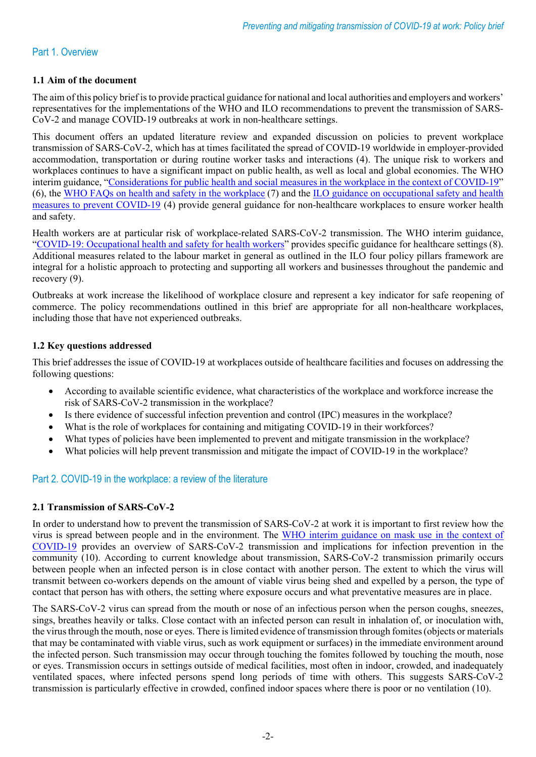#### Part 1. Overview

#### **1.1 Aim of the document**

The aim of this policy brief is to provide practical guidance for national and local authorities and employers and workers' representatives for the implementations of the WHO and ILO recommendations to prevent the transmission of SARS-CoV-2 and manage COVID-19 outbreaks at work in non-healthcare settings.

This document offers an updated literature review and expanded discussion on policies to prevent workplace transmission of SARS-CoV-2, which has at times facilitated the spread of COVID-19 worldwide in employer-provided accommodation, transportation or during routine worker tasks and interactions (4). The unique risk to workers and workplaces continues to have a significant impact on public health, as well as local and global economies. The WHO interim guidance, ["Considerations for public health and social measures in the workplace in the context of COVID-19"](https://www.who.int/publications/i/item/considerations-for-public-health-and-social-measures-in-the-workplace-in-the-context-of-covid-19) (6), the [WHO FAQs on health and safety in the workplace](https://www.who.int/emergencies/diseases/novel-coronavirus-2019/question-and-answers-hub/q-a-detail/coronavirus-disease-covid-19-health-and-safety-in-the-workplace) (7) and the [ILO guidance on occupational safety and health](http://www.ilo.org/global/topics/safety-and-health-at-work/resources-library/publications/WCMS_745549/lang--en/index.htm)  [measures to prevent COVID-19](http://www.ilo.org/global/topics/safety-and-health-at-work/resources-library/publications/WCMS_745549/lang--en/index.htm) (4) provide general guidance for non-healthcare workplaces to ensure worker health and safety.

Health workers are at particular risk of workplace-related SARS-CoV-2 transmission. The WHO interim guidance, ["COVID-19: Occupational health and safety for health workers"](https://www.who.int/publications/i/item/WHO-2019-nCoV-HCW_advice-2021.1) provides specific guidance for healthcare settings (8). Additional measures related to the labour market in general as outlined in the ILO four policy pillars framework are integral for a holistic approach to protecting and supporting all workers and businesses throughout the pandemic and recovery (9).

Outbreaks at work increase the likelihood of workplace closure and represent a key indicator for safe reopening of commerce. The policy recommendations outlined in this brief are appropriate for all non-healthcare workplaces, including those that have not experienced outbreaks.

#### **1.2 Key questions addressed**

This brief addresses the issue of COVID-19 at workplaces outside of healthcare facilities and focuses on addressing the following questions:

- According to available scientific evidence, what characteristics of the workplace and workforce increase the risk of SARS-CoV-2 transmission in the workplace?
- Is there evidence of successful infection prevention and control (IPC) measures in the workplace?
- What is the role of workplaces for containing and mitigating COVID-19 in their workforces?
- What types of policies have been implemented to prevent and mitigate transmission in the workplace?
- What policies will help prevent transmission and mitigate the impact of COVID-19 in the workplace?

# Part 2. COVID-19 in the workplace: a review of the literature

#### **2.1 Transmission of SARS-CoV-2**

In order to understand how to prevent the transmission of SARS-CoV-2 at work it is important to first review how the virus is spread between people and in the environment. The WHO interim guidance on mask use in the context of [COVID-19](https://apps.who.int/iris/handle/10665/337199) provides an overview of SARS-CoV-2 transmission and implications for infection prevention in the community (10). According to current knowledge about transmission, SARS-CoV-2 transmission primarily occurs between people when an infected person is in close contact with another person. The extent to which the virus will transmit between co-workers depends on the amount of viable virus being shed and expelled by a person, the type of contact that person has with others, the setting where exposure occurs and what preventative measures are in place.

The SARS-CoV-2 virus can spread from the mouth or nose of an infectious person when the person coughs, sneezes, sings, breathes heavily or talks. Close contact with an infected person can result in inhalation of, or inoculation with, the virus through the mouth, nose or eyes. There is limited evidence of transmission through fomites(objects or materials that may be contaminated with viable virus, such as work equipment or surfaces) in the immediate environment around the infected person. Such transmission may occur through touching the fomites followed by touching the mouth, nose or eyes. Transmission occurs in settings outside of medical facilities, most often in indoor, crowded, and inadequately ventilated spaces, where infected persons spend long periods of time with others. This suggests SARS-CoV-2 transmission is particularly effective in crowded, confined indoor spaces where there is poor or no ventilation (10).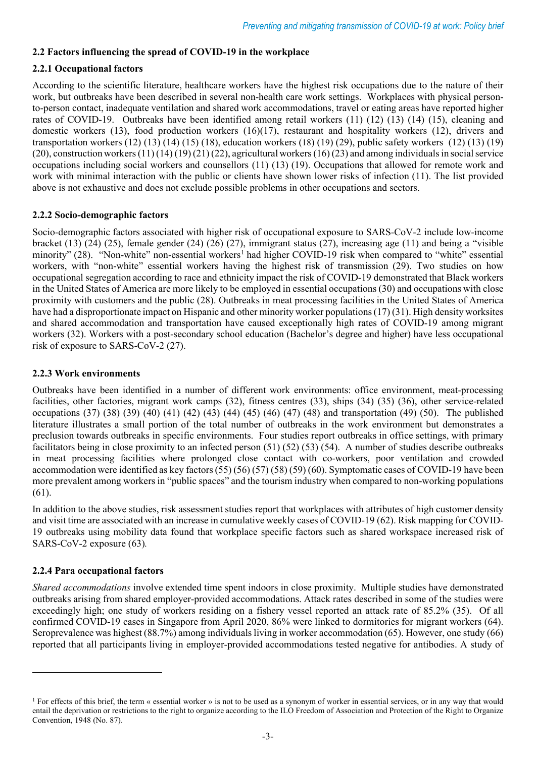# **2.2 Factors influencing the spread of COVID-19 in the workplace**

#### **2.2.1 Occupational factors**

According to the scientific literature, healthcare workers have the highest risk occupations due to the nature of their work, but outbreaks have been described in several non-health care work settings. Workplaces with physical personto-person contact, inadequate ventilation and shared work accommodations, travel or eating areas have reported higher rates of COVID-19. Outbreaks have been identified among retail workers (11) (12) (13) (14) (15), cleaning and domestic workers (13), food production workers (16)(17), restaurant and hospitality workers (12), drivers and transportation workers (12) (13) (14) (15) (18), education workers (18) (19) (29), public safety workers (12) (13) (19)  $(20)$ , construction workers  $(11)(14)(19)(21)(22)$ , agricultural workers  $(16)(23)$  and among individuals in social service occupations including social workers and counsellors (11) (13) (19). Occupations that allowed for remote work and work with minimal interaction with the public or clients have shown lower risks of infection (11). The list provided above is not exhaustive and does not exclude possible problems in other occupations and sectors.

#### **2.2.2 Socio-demographic factors**

Socio-demographic factors associated with higher risk of occupational exposure to SARS-CoV-2 include low-income bracket (13) (24) (25), female gender (24) (26) (27), immigrant status (27), increasing age (11) and being a "visible minority" (28). "Non-white" non-essential workers<sup>[1](#page-2-0)</sup> had higher COVID-19 risk when compared to "white" essential workers, with "non-white" essential workers having the highest risk of transmission (29). Two studies on how occupational segregation according to race and ethnicity impact the risk of COVID-19 demonstrated that Black workers in the United States of America are more likely to be employed in essential occupations (30) and occupations with close proximity with customers and the public (28). Outbreaks in meat processing facilities in the United States of America have had a disproportionate impact on Hispanic and other minority worker populations(17) (31). High density worksites and shared accommodation and transportation have caused exceptionally high rates of COVID-19 among migrant workers (32). Workers with a post-secondary school education (Bachelor's degree and higher) have less occupational risk of exposure to SARS-CoV-2 (27).

#### **2.2.3 Work environments**

Outbreaks have been identified in a number of different work environments: office environment, meat-processing facilities, other factories, migrant work camps (32), fitness centres (33), ships (34) (35) (36), other service-related occupations (37) (38) (39) (40) (41) (42) (43) (44) (45) (46) (47) (48) and transportation (49) (50). The published literature illustrates a small portion of the total number of outbreaks in the work environment but demonstrates a preclusion towards outbreaks in specific environments. Four studies report outbreaks in office settings, with primary facilitators being in close proximity to an infected person (51) (52) (53) (54). A number of studies describe outbreaks in meat processing facilities where prolonged close contact with co-workers, poor ventilation and crowded accommodation were identified as key factors(55) (56) (57) (58) (59) (60). Symptomatic cases of COVID-19 have been more prevalent among workers in "public spaces" and the tourism industry when compared to non-working populations (61).

In addition to the above studies, risk assessment studies report that workplaces with attributes of high customer density and visit time are associated with an increase in cumulative weekly cases of COVID-19 (62). Risk mapping for COVID-19 outbreaks using mobility data found that workplace specific factors such as shared workspace increased risk of SARS-CoV-2 exposure (63)*.*

#### **2.2.4 Para occupational factors**

*Shared accommodations* involve extended time spent indoors in close proximity. Multiple studies have demonstrated outbreaks arising from shared employer-provided accommodations. Attack rates described in some of the studies were exceedingly high; one study of workers residing on a fishery vessel reported an attack rate of 85.2% (35). Of all confirmed COVID-19 cases in Singapore from April 2020, 86% were linked to dormitories for migrant workers (64). Seroprevalence was highest (88.7%) among individuals living in worker accommodation (65). However, one study (66) reported that all participants living in employer-provided accommodations tested negative for antibodies. A study of

<span id="page-2-0"></span><sup>&</sup>lt;sup>1</sup> For effects of this brief, the term « essential worker » is not to be used as a synonym of worker in essential services, or in any way that would entail the deprivation or restrictions to the right to organize according to the ILO Freedom of Association and Protection of the Right to Organize Convention, 1948 (No. 87).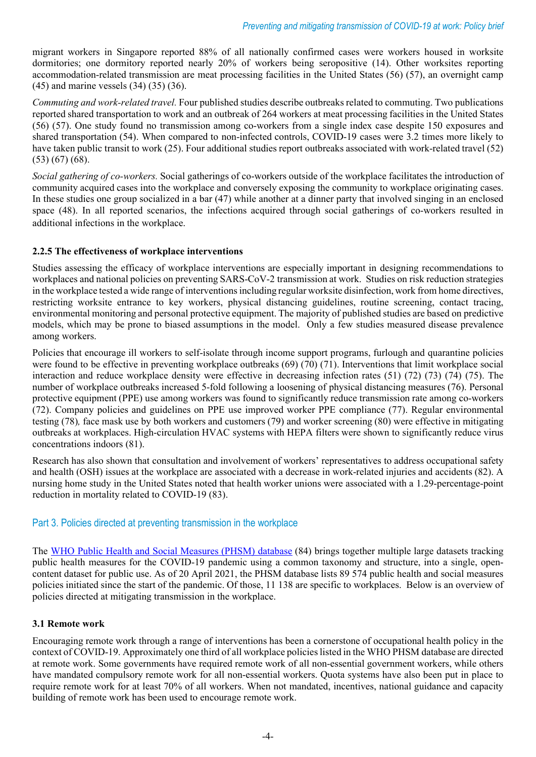migrant workers in Singapore reported 88% of all nationally confirmed cases were workers housed in worksite dormitories; one dormitory reported nearly 20% of workers being seropositive (14). Other worksites reporting accommodation-related transmission are meat processing facilities in the United States (56) (57), an overnight camp (45) and marine vessels (34) (35) (36).

*Commuting and work-related travel.* Four published studies describe outbreaks related to commuting. Two publications reported shared transportation to work and an outbreak of 264 workers at meat processing facilities in the United States (56) (57). One study found no transmission among co-workers from a single index case despite 150 exposures and shared transportation (54). When compared to non-infected controls, COVID-19 cases were 3.2 times more likely to have taken public transit to work (25). Four additional studies report outbreaks associated with work-related travel (52) (53) (67) (68).

*Social gathering of co-workers.* Social gatherings of co-workers outside of the workplace facilitates the introduction of community acquired cases into the workplace and conversely exposing the community to workplace originating cases. In these studies one group socialized in a bar (47) while another at a dinner party that involved singing in an enclosed space (48). In all reported scenarios, the infections acquired through social gatherings of co-workers resulted in additional infections in the workplace.

#### **2.2.5 The effectiveness of workplace interventions**

Studies assessing the efficacy of workplace interventions are especially important in designing recommendations to workplaces and national policies on preventing SARS-CoV-2 transmission at work. Studies on risk reduction strategies in the workplace tested a wide range of interventions including regular worksite disinfection, work from home directives, restricting worksite entrance to key workers, physical distancing guidelines, routine screening, contact tracing, environmental monitoring and personal protective equipment. The majority of published studies are based on predictive models, which may be prone to biased assumptions in the model. Only a few studies measured disease prevalence among workers.

Policies that encourage ill workers to self-isolate through income support programs, furlough and quarantine policies were found to be effective in preventing workplace outbreaks (69) (70) (71). Interventions that limit workplace social interaction and reduce workplace density were effective in decreasing infection rates (51) (72) (73) (74) (75). The number of workplace outbreaks increased 5-fold following a loosening of physical distancing measures (76). Personal protective equipment (PPE) use among workers was found to significantly reduce transmission rate among co-workers (72). Company policies and guidelines on PPE use improved worker PPE compliance (77). Regular environmental testing (78)*,* face mask use by both workers and customers (79) and worker screening (80) were effective in mitigating outbreaks at workplaces. High-circulation HVAC systems with HEPA filters were shown to significantly reduce virus concentrations indoors (81).

Research has also shown that consultation and involvement of workers' representatives to address occupational safety and health (OSH) issues at the workplace are associated with a decrease in work-related injuries and accidents (82). A nursing home study in the United States noted that health worker unions were associated with a 1.29-percentage-point reduction in mortality related to COVID-19 (83).

#### Part 3. Policies directed at preventing transmission in the workplace

The [WHO Public Health and Social Measures \(PHSM\)](https://www.who.int/emergencies/diseases/novel-coronavirus-2019/phsm) database (84) brings together multiple large datasets tracking public health measures for the COVID-19 pandemic using a common taxonomy and structure, into a single, opencontent dataset for public use. As of 20 April 2021, the PHSM database lists 89 574 public health and social measures policies initiated since the start of the pandemic. Of those, 11 138 are specific to workplaces. Below is an overview of policies directed at mitigating transmission in the workplace.

#### **3.1 Remote work**

Encouraging remote work through a range of interventions has been a cornerstone of occupational health policy in the context of COVID-19. Approximately one third of all workplace policies listed in the WHO PHSM database are directed at remote work. Some governments have required remote work of all non-essential government workers, while others have mandated compulsory remote work for all non-essential workers. Quota systems have also been put in place to require remote work for at least 70% of all workers. When not mandated, incentives, national guidance and capacity building of remote work has been used to encourage remote work.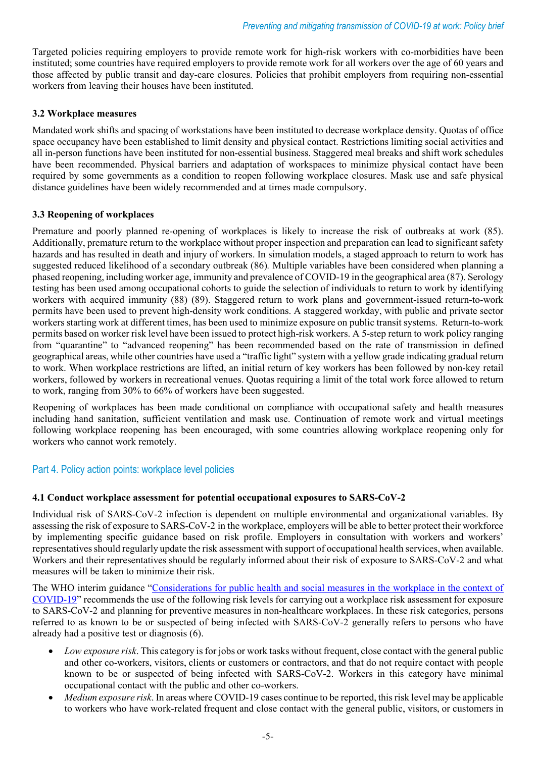Targeted policies requiring employers to provide remote work for high-risk workers with co-morbidities have been instituted; some countries have required employers to provide remote work for all workers over the age of 60 years and those affected by public transit and day-care closures. Policies that prohibit employers from requiring non-essential workers from leaving their houses have been instituted.

#### **3.2 Workplace measures**

Mandated work shifts and spacing of workstations have been instituted to decrease workplace density. Quotas of office space occupancy have been established to limit density and physical contact. Restrictions limiting social activities and all in-person functions have been instituted for non-essential business. Staggered meal breaks and shift work schedules have been recommended. Physical barriers and adaptation of workspaces to minimize physical contact have been required by some governments as a condition to reopen following workplace closures. Mask use and safe physical distance guidelines have been widely recommended and at times made compulsory.

#### **3.3 Reopening of workplaces**

Premature and poorly planned re-opening of workplaces is likely to increase the risk of outbreaks at work (85). Additionally, premature return to the workplace without proper inspection and preparation can lead to significant safety hazards and has resulted in death and injury of workers. In simulation models, a staged approach to return to work has suggested reduced likelihood of a secondary outbreak (86)*.* Multiple variables have been considered when planning a phased reopening, including worker age, immunity and prevalence of COVID-19 in the geographical area (87). Serology testing has been used among occupational cohorts to guide the selection of individuals to return to work by identifying workers with acquired immunity (88) (89). Staggered return to work plans and government-issued return-to-work permits have been used to prevent high-density work conditions. A staggered workday, with public and private sector workers starting work at different times, has been used to minimize exposure on public transit systems. Return-to-work permits based on worker risk level have been issued to protect high-risk workers. A 5-step return to work policy ranging from "quarantine" to "advanced reopening" has been recommended based on the rate of transmission in defined geographical areas, while other countries have used a "traffic light" system with a yellow grade indicating gradual return to work. When workplace restrictions are lifted, an initial return of key workers has been followed by non-key retail workers, followed by workers in recreational venues. Quotas requiring a limit of the total work force allowed to return to work, ranging from 30% to 66% of workers have been suggested.

Reopening of workplaces has been made conditional on compliance with occupational safety and health measures including hand sanitation, sufficient ventilation and mask use. Continuation of remote work and virtual meetings following workplace reopening has been encouraged, with some countries allowing workplace reopening only for workers who cannot work remotely.

#### Part 4. Policy action points: workplace level policies

#### **4.1 Conduct workplace assessment for potential occupational exposures to SARS-CoV-2**

Individual risk of SARS-CoV-2 infection is dependent on multiple environmental and organizational variables. By assessing the risk of exposure to SARS-CoV-2 in the workplace, employers will be able to better protect their workforce by implementing specific guidance based on risk profile. Employers in consultation with workers and workers' representatives should regularly update the risk assessment with support of occupational health services, when available. Workers and their representatives should be regularly informed about their risk of exposure to SARS-CoV-2 and what measures will be taken to minimize their risk.

The WHO interim guidance ["Considerations for public health and social measures in the workplace in the context of](https://www.who.int/publications/i/item/considerations-for-public-health-and-social-measures-in-the-workplace-in-the-context-of-covid-19)  [COVID-19"](https://www.who.int/publications/i/item/considerations-for-public-health-and-social-measures-in-the-workplace-in-the-context-of-covid-19) recommends the use of the following risk levels for carrying out a workplace risk assessment for exposure to SARS-CoV-2 and planning for preventive measures in non-healthcare workplaces. In these risk categories, persons referred to as known to be or suspected of being infected with SARS-CoV-2 generally refers to persons who have already had a positive test or diagnosis (6).

- *Low exposure risk*. This category is for jobs or work tasks without frequent, close contact with the general public and other co-workers, visitors, clients or customers or contractors, and that do not require contact with people known to be or suspected of being infected with SARS-CoV-2. Workers in this category have minimal occupational contact with the public and other co-workers.
- *Medium exposure risk*. In areas where COVID-19 cases continue to be reported, this risk level may be applicable to workers who have work-related frequent and close contact with the general public, visitors, or customers in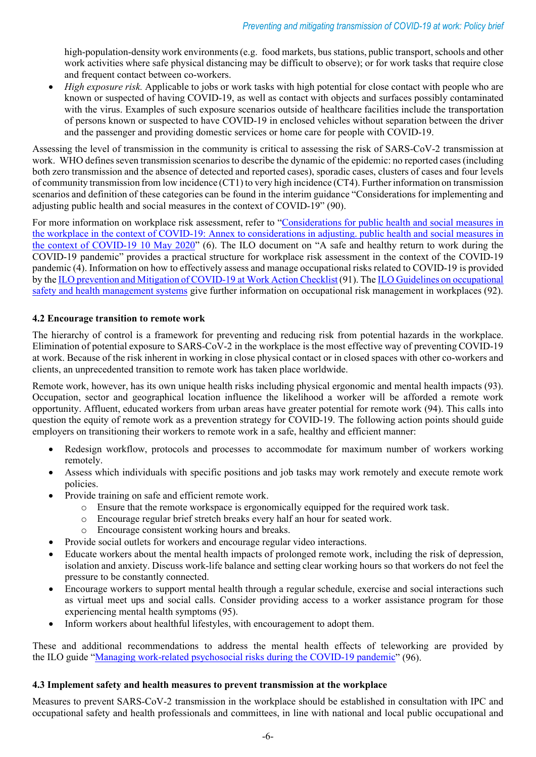high-population-density work environments (e.g. food markets, bus stations, public transport, schools and other work activities where safe physical distancing may be difficult to observe); or for work tasks that require close and frequent contact between co-workers.

• *High exposure risk.* Applicable to jobs or work tasks with high potential for close contact with people who are known or suspected of having COVID-19, as well as contact with objects and surfaces possibly contaminated with the virus. Examples of such exposure scenarios outside of healthcare facilities include the transportation of persons known or suspected to have COVID-19 in enclosed vehicles without separation between the driver and the passenger and providing domestic services or home care for people with COVID-19.

Assessing the level of transmission in the community is critical to assessing the risk of SARS-CoV-2 transmission at work. WHO defines seven transmission scenarios to describe the dynamic of the epidemic: no reported cases (including both zero transmission and the absence of detected and reported cases), sporadic cases, clusters of cases and four levels of community transmission from low incidence (CT1) to very high incidence (CT4). Further information on transmission scenarios and definition of these categories can be found in the interim guidance "Considerations for implementing and adjusting public health and social measures in the context of COVID-19" (90).

For more information on workplace risk assessment, refer to ["Considerations for public health and social measures in](https://www.who.int/publications/i/item/considerations-for-public-health-and-social-measures-in-the-workplace-in-the-context-of-covid-19)  [the workplace in the context of COVID-19: Annex to considerations in adjusting. public health and social measures in](https://www.who.int/publications/i/item/considerations-for-public-health-and-social-measures-in-the-workplace-in-the-context-of-covid-19)  [the context of COVID-19 10 May 2020"](https://www.who.int/publications/i/item/considerations-for-public-health-and-social-measures-in-the-workplace-in-the-context-of-covid-19) (6). The ILO document on "A safe and healthy return to work during the COVID-19 pandemic" provides a practical structure for workplace risk assessment in the context of the COVID-19 pandemic (4). Information on how to effectively assess and manage occupational risks related to COVID-19 is provided by the [ILO prevention and Mitigation of COVID-19 at Work Action Checklist](https://www.ilo.org/global/topics/safety-and-health-at-work/resources-library/publications/WCMS_741813/lang--en/index.htm) (91). Th[e ILO Guidelines on occupational](https://www.ilo.org/safework/info/standards-and-instruments/WCMS_107727/lang--en/index.htm)  [safety and health management systems](https://www.ilo.org/safework/info/standards-and-instruments/WCMS_107727/lang--en/index.htm) give further information on occupational risk management in workplaces (92).

#### **4.2 Encourage transition to remote work**

The hierarchy of control is a framework for preventing and reducing risk from potential hazards in the workplace. Elimination of potential exposure to SARS-CoV-2 in the workplace is the most effective way of preventing COVID-19 at work. Because of the risk inherent in working in close physical contact or in closed spaces with other co-workers and clients, an unprecedented transition to remote work has taken place worldwide.

Remote work, however, has its own unique health risks including physical ergonomic and mental health impacts (93). Occupation, sector and geographical location influence the likelihood a worker will be afforded a remote work opportunity. Affluent, educated workers from urban areas have greater potential for remote work (94). This calls into question the equity of remote work as a prevention strategy for COVID-19. The following action points should guide employers on transitioning their workers to remote work in a safe, healthy and efficient manner:

- Redesign workflow, protocols and processes to accommodate for maximum number of workers working remotely.
- Assess which individuals with specific positions and job tasks may work remotely and execute remote work policies.
- Provide training on safe and efficient remote work.
	- o Ensure that the remote workspace is ergonomically equipped for the required work task.
	- o Encourage regular brief stretch breaks every half an hour for seated work.
	- Encourage consistent working hours and breaks.
	- Provide social outlets for workers and encourage regular video interactions.
- Educate workers about the mental health impacts of prolonged remote work, including the risk of depression, isolation and anxiety. Discuss work-life balance and setting clear working hours so that workers do not feel the pressure to be constantly connected.
- Encourage workers to support mental health through a regular schedule, exercise and social interactions such as virtual meet ups and social calls. Consider providing access to a worker assistance program for those experiencing mental health symptoms (95).
- Inform workers about healthful lifestyles, with encouragement to adopt them.

These and additional recommendations to address the mental health effects of teleworking are provided by the ILO guide ["Managing work-related psychosocial risks during the COVID-19 pandemic"](https://www.ilo.org/global/topics/safety-and-health-at-work/resources-library/publications/WCMS_748638/lang--en/index.htm) (96).

#### **4.3 Implement safety and health measures to prevent transmission at the workplace**

Measures to prevent SARS-CoV-2 transmission in the workplace should be established in consultation with IPC and occupational safety and health professionals and committees, in line with national and local public occupational and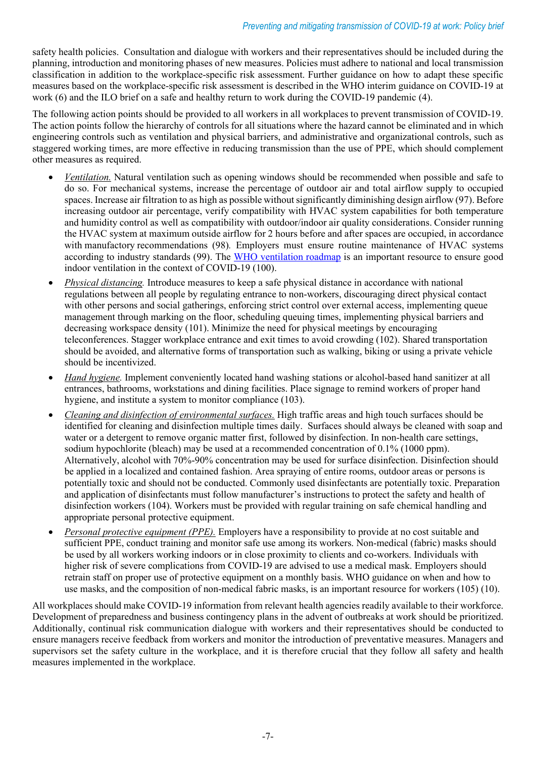safety health policies. Consultation and dialogue with workers and their representatives should be included during the planning, introduction and monitoring phases of new measures. Policies must adhere to national and local transmission classification in addition to the workplace-specific risk assessment. Further guidance on how to adapt these specific measures based on the workplace-specific risk assessment is described in the WHO interim guidance on COVID-19 at work (6) and the ILO brief on a safe and healthy return to work during the COVID-19 pandemic (4).

The following action points should be provided to all workers in all workplaces to prevent transmission of COVID-19. The action points follow the hierarchy of controls for all situations where the hazard cannot be eliminated and in which engineering controls such as ventilation and physical barriers, and administrative and organizational controls, such as staggered working times, are more effective in reducing transmission than the use of PPE, which should complement other measures as required.

- *Ventilation.* Natural ventilation such as opening windows should be recommended when possible and safe to do so. For mechanical systems, increase the percentage of outdoor air and total airflow supply to occupied spaces. Increase air filtration to as high as possible without significantly diminishing design airflow (97). Before increasing outdoor air percentage, verify compatibility with HVAC system capabilities for both temperature and humidity control as well as compatibility with outdoor/indoor air quality considerations. Consider running the HVAC system at maximum outside airflow for 2 hours before and after spaces are occupied, in accordance with manufactory recommendations (98)*.* Employers must ensure routine maintenance of HVAC systems according to industry standards (99). The [WHO ventilation roadmap](https://apps.who.int/iris/bitstream/handle/10665/339857/9789240021280-eng.pdf) is an important resource to ensure good indoor ventilation in the context of COVID-19 (100).
- *Physical distancing.* Introduce measures to keep a safe physical distance in accordance with national regulations between all people by regulating entrance to non-workers, discouraging direct physical contact with other persons and social gatherings, enforcing strict control over external access, implementing queue management through marking on the floor, scheduling queuing times, implementing physical barriers and decreasing workspace density (101). Minimize the need for physical meetings by encouraging teleconferences. Stagger workplace entrance and exit times to avoid crowding (102). Shared transportation should be avoided, and alternative forms of transportation such as walking, biking or using a private vehicle should be incentivized.
- *Hand hygiene.* Implement conveniently located hand washing stations or alcohol-based hand sanitizer at all entrances, bathrooms, workstations and dining facilities. Place signage to remind workers of proper hand hygiene, and institute a system to monitor compliance (103).
- *Cleaning and disinfection of environmental surfaces.* High traffic areas and high touch surfaces should be identified for cleaning and disinfection multiple times daily. Surfaces should always be cleaned with soap and water or a detergent to remove organic matter first, followed by disinfection. In non-health care settings, sodium hypochlorite (bleach) may be used at a recommended concentration of 0.1% (1000 ppm). Alternatively, alcohol with 70%-90% concentration may be used for surface disinfection. Disinfection should be applied in a localized and contained fashion. Area spraying of entire rooms, outdoor areas or persons is potentially toxic and should not be conducted. Commonly used disinfectants are potentially toxic. Preparation and application of disinfectants must follow manufacturer's instructions to protect the safety and health of disinfection workers (104). Workers must be provided with regular training on safe chemical handling and appropriate personal protective equipment.
- *Personal protective equipment (PPE).* Employers have a responsibility to provide at no cost suitable and sufficient PPE, conduct training and monitor safe use among its workers. Non-medical (fabric) masks should be used by all workers working indoors or in close proximity to clients and co-workers. Individuals with higher risk of severe complications from COVID-19 are advised to use a medical mask. Employers should retrain staff on proper use of protective equipment on a monthly basis. WHO guidance on when and how to use masks, and the composition of non-medical fabric masks, is an important resource for workers (105) (10).

All workplaces should make COVID-19 information from relevant health agencies readily available to their workforce. Development of preparedness and business contingency plans in the advent of outbreaks at work should be prioritized. Additionally, continual risk communication dialogue with workers and their representatives should be conducted to ensure managers receive feedback from workers and monitor the introduction of preventative measures. Managers and supervisors set the safety culture in the workplace, and it is therefore crucial that they follow all safety and health measures implemented in the workplace.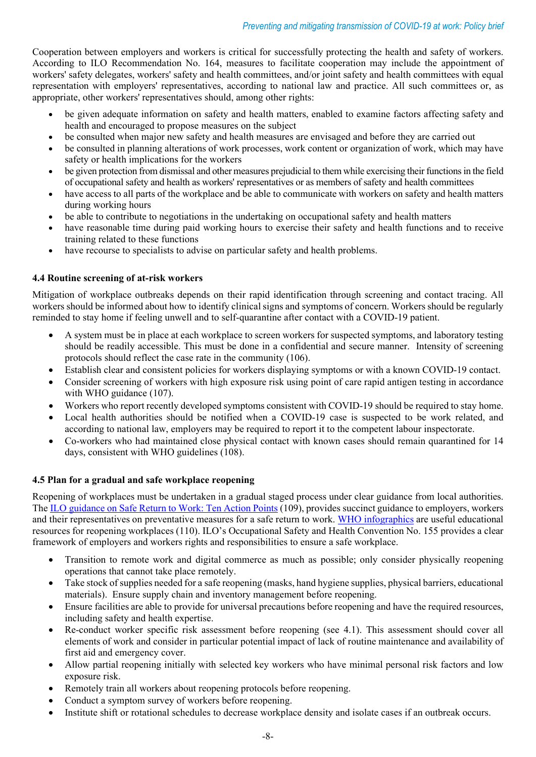Cooperation between employers and workers is critical for successfully protecting the health and safety of workers. According to ILO Recommendation No. 164, measures to facilitate cooperation may include the appointment of workers' safety delegates, workers' safety and health committees, and/or joint safety and health committees with equal representation with employers' representatives, according to national law and practice. All such committees or, as appropriate, other workers' representatives should, among other rights:

- be given adequate information on safety and health matters, enabled to examine factors affecting safety and health and encouraged to propose measures on the subject
- be consulted when major new safety and health measures are envisaged and before they are carried out
- be consulted in planning alterations of work processes, work content or organization of work, which may have safety or health implications for the workers
- be given protection from dismissal and other measures prejudicial to them while exercising their functions in the field of occupational safety and health as workers' representatives or as members of safety and health committees
- have access to all parts of the workplace and be able to communicate with workers on safety and health matters during working hours
- be able to contribute to negotiations in the undertaking on occupational safety and health matters
- have reasonable time during paid working hours to exercise their safety and health functions and to receive training related to these functions
- have recourse to specialists to advise on particular safety and health problems.

#### **4.4 Routine screening of at-risk workers**

Mitigation of workplace outbreaks depends on their rapid identification through screening and contact tracing. All workers should be informed about how to identify clinical signs and symptoms of concern. Workers should be regularly reminded to stay home if feeling unwell and to self-quarantine after contact with a COVID-19 patient.

- A system must be in place at each workplace to screen workers for suspected symptoms, and laboratory testing should be readily accessible. This must be done in a confidential and secure manner. Intensity of screening protocols should reflect the case rate in the community (106).
- Establish clear and consistent policies for workers displaying symptoms or with a known COVID-19 contact.
- Consider screening of workers with high exposure risk using point of care rapid antigen testing in accordance with WHO guidance (107).
- Workers who report recently developed symptoms consistent with COVID-19 should be required to stay home.
- Local health authorities should be notified when a COVID-19 case is suspected to be work related, and according to national law, employers may be required to report it to the competent labour inspectorate.
- Co-workers who had maintained close physical contact with known cases should remain quarantined for 14 days, consistent with WHO guidelines (108).

#### **4.5 Plan for a gradual and safe workplace reopening**

Reopening of workplaces must be undertaken in a gradual staged process under clear guidance from local authorities. Th[e ILO guidance on Safe Return to Work: Ten Action Points](https://www.ilo.org/wcmsp5/groups/public/---ed_protect/---protrav/---safework/documents/instructionalmaterial/wcms_745541.pdf) (109), provides succinct guidance to employers, workers and their representatives on preventative measures for a safe return to work. [WHO infographics](https://www.who.int/singapore/news/infographics---English) are useful educational resources for reopening workplaces (110). ILO's [Occupational Safety and Health Convention No. 155](https://www.ilo.org/dyn/normlex/en/f?p=NORMLEXPUB:12100:0::NO::P12100_ILO_CODE:C155) provides a clear framework of employers and workers rights and responsibilities to ensure a safe workplace.

- Transition to remote work and digital commerce as much as possible; only consider physically reopening operations that cannot take place remotely.
- Take stock of supplies needed for a safe reopening (masks, hand hygiene supplies, physical barriers, educational materials). Ensure supply chain and inventory management before reopening.
- Ensure facilities are able to provide for universal precautions before reopening and have the required resources, including safety and health expertise.
- Re-conduct worker specific risk assessment before reopening (see 4.1). This assessment should cover all elements of work and consider in particular potential impact of lack of routine maintenance and availability of first aid and emergency cover.
- Allow partial reopening initially with selected key workers who have minimal personal risk factors and low exposure risk.
- Remotely train all workers about reopening protocols before reopening.
- Conduct a symptom survey of workers before reopening.
- Institute shift or rotational schedules to decrease workplace density and isolate cases if an outbreak occurs.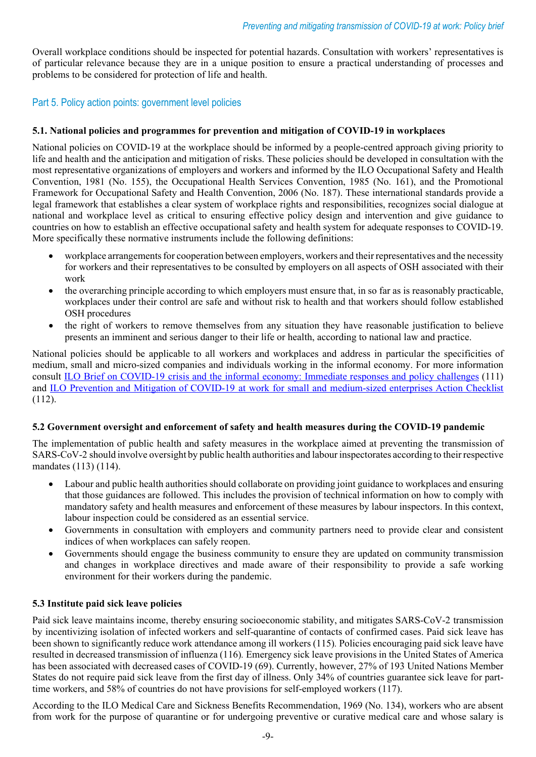Overall workplace conditions should be inspected for potential hazards. Consultation with workers' representatives is of particular relevance because they are in a unique position to ensure a practical understanding of processes and problems to be considered for protection of life and health.

## Part 5. Policy action points: government level policies

#### **5.1. National policies and programmes for prevention and mitigation of COVID-19 in workplaces**

National policies on COVID-19 at the workplace should be informed by a people-centred approach giving priority to life and health and the anticipation and mitigation of risks. These policies should be developed in consultation with the most representative organizations of employers and workers and informed by the ILO Occupational Safety and Health Convention, 1981 (No. 155), the Occupational Health Services Convention, 1985 (No. 161), and the Promotional Framework for Occupational Safety and Health Convention, 2006 (No. 187). These international standards provide a legal framework that establishes a clear system of workplace rights and responsibilities, recognizes social dialogue at national and workplace level as critical to ensuring effective policy design and intervention and give guidance to countries on how to establish an effective occupational safety and health system for adequate responses to COVID-19. More specifically these normative instruments include the following definitions:

- workplace arrangements for cooperation between employers, workers and their representatives and the necessity for workers and their representatives to be consulted by employers on all aspects of OSH associated with their work
- the overarching principle according to which employers must ensure that, in so far as is reasonably practicable, workplaces under their control are safe and without risk to health and that workers should follow established OSH procedures
- the right of workers to remove themselves from any situation they have reasonable justification to believe presents an imminent and serious danger to their life or health, according to national law and practice.

National policies should be applicable to all workers and workplaces and address in particular the specificities of medium, small and micro-sized companies and individuals working in the informal economy. For more information consult ILO [Brief on COVID-19 crisis and the informal economy: Immediate responses and policy challenges](https://www.ilo.org/global/topics/employment-promotion/informal-economy/publications/WCMS_743623/lang--en/index.htm) (111) and [ILO Prevention and Mitigation of COVID-19 at work for small and medium-sized enterprises Action Checklist](https://www.ilo.org/global/topics/safety-and-health-at-work/resources-library/training/WCMS_753619/lang--en/index.htm) (112).

#### **5.2 Government oversight and enforcement of safety and health measures during the COVID-19 pandemic**

The implementation of public health and safety measures in the workplace aimed at preventing the transmission of SARS-CoV-2 should involve oversight by public health authorities and labour inspectorates according to their respective mandates (113) (114).

- Labour and public health authorities should collaborate on providing joint guidance to workplaces and ensuring that those guidances are followed. This includes the provision of technical information on how to comply with mandatory safety and health measures and enforcement of these measures by labour inspectors. In this context, labour inspection could be considered as an essential service.
- Governments in consultation with employers and community partners need to provide clear and consistent indices of when workplaces can safely reopen.
- Governments should engage the business community to ensure they are updated on community transmission and changes in workplace directives and made aware of their responsibility to provide a safe working environment for their workers during the pandemic.

#### **5.3 Institute paid sick leave policies**

Paid sick leave maintains income, thereby ensuring socioeconomic stability, and mitigates SARS-CoV-2 transmission by incentivizing isolation of infected workers and self-quarantine of contacts of confirmed cases. Paid sick leave has been shown to significantly reduce work attendance among ill workers (115)*.* Policies encouraging paid sick leave have resulted in decreased transmission of influenza (116)*.* Emergency sick leave provisions in the United States of America has been associated with decreased cases of COVID-19 (69). Currently, however, 27% of 193 United Nations Member States do not require paid sick leave from the first day of illness. Only 34% of countries guarantee sick leave for parttime workers, and 58% of countries do not have provisions for self-employed workers (117).

According to the ILO Medical Care and Sickness Benefits Recommendation, 1969 (No. 134), workers who are absent from work for the purpose of quarantine or for undergoing preventive or curative medical care and whose salary is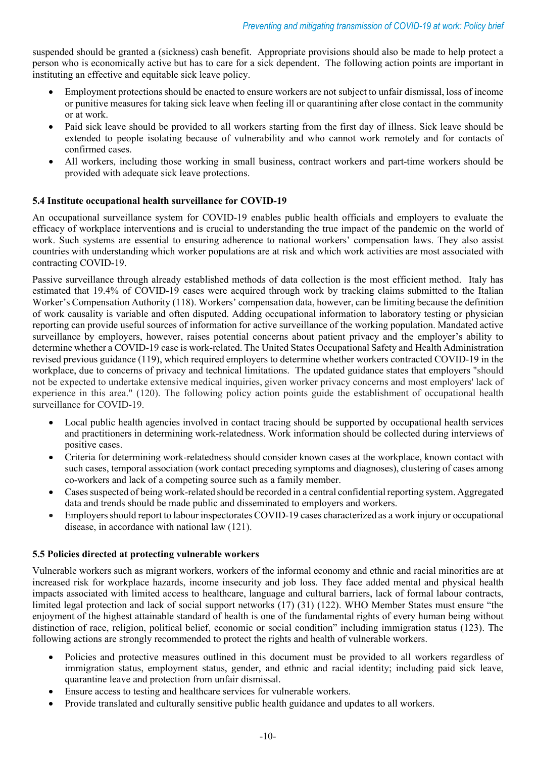suspended should be granted a (sickness) cash benefit. Appropriate provisions should also be made to help protect a person who is economically active but has to care for a sick dependent. The following action points are important in instituting an effective and equitable sick leave policy.

- Employment protections should be enacted to ensure workers are not subject to unfair dismissal, loss of income or punitive measures for taking sick leave when feeling ill or quarantining after close contact in the community or at work.
- Paid sick leave should be provided to all workers starting from the first day of illness. Sick leave should be extended to people isolating because of vulnerability and who cannot work remotely and for contacts of confirmed cases.
- All workers, including those working in small business, contract workers and part-time workers should be provided with adequate sick leave protections.

#### **5.4 Institute occupational health surveillance for COVID-19**

An occupational surveillance system for COVID-19 enables public health officials and employers to evaluate the efficacy of workplace interventions and is crucial to understanding the true impact of the pandemic on the world of work. Such systems are essential to ensuring adherence to national workers' compensation laws. They also assist countries with understanding which worker populations are at risk and which work activities are most associated with contracting COVID-19.

Passive surveillance through already established methods of data collection is the most efficient method. Italy has estimated that 19.4% of COVID-19 cases were acquired through work by tracking claims submitted to the Italian Worker's Compensation Authority (118). Workers' compensation data, however, can be limiting because the definition of work causality is variable and often disputed. Adding occupational information to laboratory testing or physician reporting can provide useful sources of information for active surveillance of the working population. Mandated active surveillance by employers, however, raises potential concerns about patient privacy and the employer's ability to determine whether a COVID-19 case is work-related. The United States Occupational Safety and Health Administration revised previous guidance (119), which required employers to determine whether workers contracted COVID-19 in the workplace, due to concerns of privacy and technical limitations. The updated guidance states that employers "should not be expected to undertake extensive medical inquiries, given worker privacy concerns and most employers' lack of experience in this area." (120). The following policy action points guide the establishment of occupational health surveillance for COVID-19.

- Local public health agencies involved in contact tracing should be supported by occupational health services and practitioners in determining work-relatedness. Work information should be collected during interviews of positive cases.
- Criteria for determining work-relatedness should consider known cases at the workplace, known contact with such cases, temporal association (work contact preceding symptoms and diagnoses), clustering of cases among co-workers and lack of a competing source such as a family member.
- Cases suspected of being work-related should be recorded in a central confidential reporting system. Aggregated data and trends should be made public and disseminated to employers and workers.
- Employers should report to labour inspectorates COVID-19 cases characterized as a work injury or occupational disease, in accordance with national law (121).

#### **5.5 Policies directed at protecting vulnerable workers**

Vulnerable workers such as migrant workers, workers of the informal economy and ethnic and racial minorities are at increased risk for workplace hazards, income insecurity and job loss. They face added mental and physical health impacts associated with limited access to healthcare, language and cultural barriers, lack of formal labour contracts, limited legal protection and lack of social support networks (17) (31) (122). WHO Member States must ensure "the enjoyment of the highest attainable standard of health is one of the fundamental rights of every human being without distinction of race, religion, political belief, economic or social condition" including immigration status (123). The following actions are strongly recommended to protect the rights and health of vulnerable workers.

- Policies and protective measures outlined in this document must be provided to all workers regardless of immigration status, employment status, gender, and ethnic and racial identity; including paid sick leave, quarantine leave and protection from unfair dismissal.
- Ensure access to testing and healthcare services for vulnerable workers.
- Provide translated and culturally sensitive public health guidance and updates to all workers.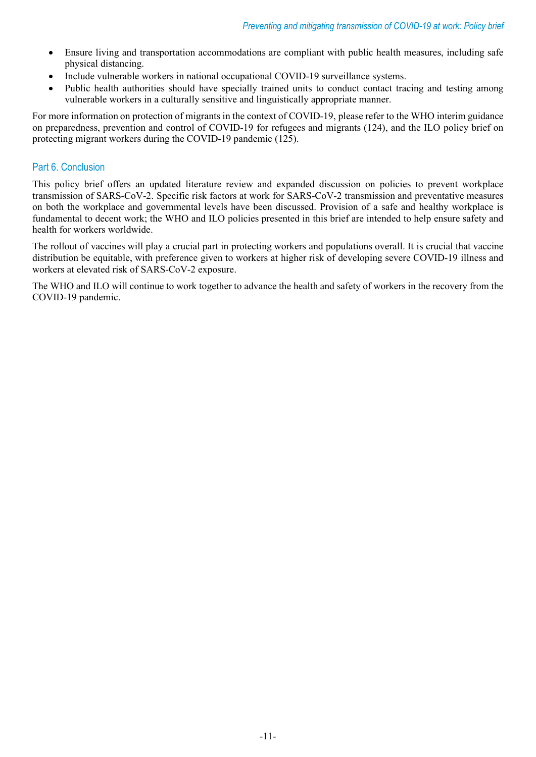- Ensure living and transportation accommodations are compliant with public health measures, including safe physical distancing.
- Include vulnerable workers in national occupational COVID-19 surveillance systems.
- Public health authorities should have specially trained units to conduct contact tracing and testing among vulnerable workers in a culturally sensitive and linguistically appropriate manner.

For more information on protection of migrants in the context of COVID-19, please refer to the WHO interim guidance on preparedness, prevention and control of COVID-19 for refugees and migrants (124), and the ILO policy brief on protecting migrant workers during the COVID-19 pandemic (125).

# Part 6. Conclusion

This policy brief offers an updated literature review and expanded discussion on policies to prevent workplace transmission of SARS-CoV-2. Specific risk factors at work for SARS-CoV-2 transmission and preventative measures on both the workplace and governmental levels have been discussed. Provision of a safe and healthy workplace is fundamental to decent work; the WHO and ILO policies presented in this brief are intended to help ensure safety and health for workers worldwide.

The rollout of vaccines will play a crucial part in protecting workers and populations overall. It is crucial that vaccine distribution be equitable, with preference given to workers at higher risk of developing severe COVID-19 illness and workers at elevated risk of SARS-CoV-2 exposure.

The WHO and ILO will continue to work together to advance the health and safety of workers in the recovery from the COVID-19 pandemic.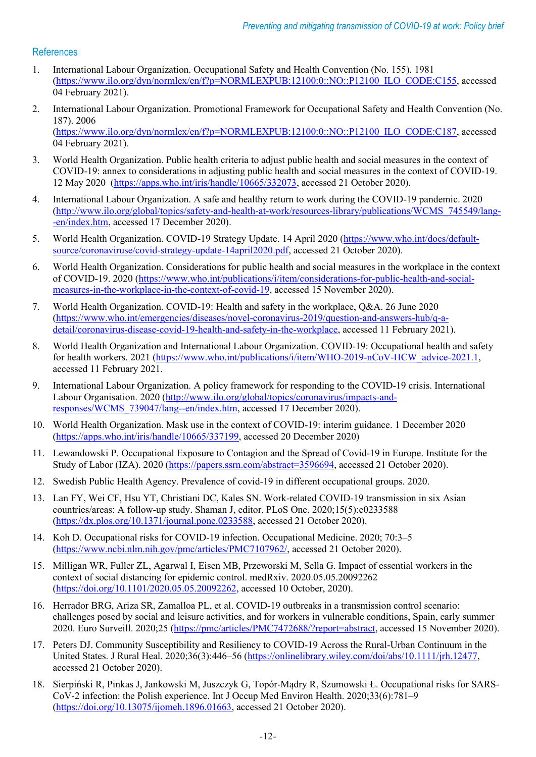# References

- 1. International Labour Organization. Occupational Safety and Health Convention (No. 155). 1981 [\(https://www.ilo.org/dyn/normlex/en/f?p=NORMLEXPUB:12100:0::NO::P12100\\_ILO\\_CODE:C155,](https://www.ilo.org/dyn/normlex/en/f?p=NORMLEXPUB:12100:0::NO::P12100_ILO_CODE:C155) accessed 04 February 2021).
- 2. International Labour Organization. Promotional Framework for Occupational Safety and Health Convention (No. 187). 2006 [\(https://www.ilo.org/dyn/normlex/en/f?p=NORMLEXPUB:12100:0::NO::P12100\\_ILO\\_CODE:C187,](https://www.ilo.org/dyn/normlex/en/f?p=NORMLEXPUB:12100:0::NO::P12100_ILO_CODE:C187) accessed 04 February 2021).
- 3. World Health Organization. Public health criteria to adjust public health and social measures in the context of COVID-19: annex to considerations in adjusting public health and social measures in the context of COVID-19. 12 May 2020 [\(https://apps.who.int/iris/handle/10665/332073,](https://apps.who.int/iris/handle/10665/332073) accessed 21 October 2020).
- 4. International Labour Organization. A safe and healthy return to work during the COVID-19 pandemic. 2020 [\(http://www.ilo.org/global/topics/safety-and-health-at-work/resources-library/publications/WCMS\\_745549/lang-](http://www.ilo.org/global/topics/safety-and-health-at-work/resources-library/publications/WCMS_745549/lang--en/index.htm) [-en/index.htm,](http://www.ilo.org/global/topics/safety-and-health-at-work/resources-library/publications/WCMS_745549/lang--en/index.htm) accessed 17 December 2020).
- 5. World Health Organization. COVID-19 Strategy Update. 14 April 2020 [\(https://www.who.int/docs/default](https://www.who.int/docs/default-source/coronaviruse/covid-strategy-update-14april2020.pdf)[source/coronaviruse/covid-strategy-update-14april2020.pdf,](https://www.who.int/docs/default-source/coronaviruse/covid-strategy-update-14april2020.pdf) accessed 21 October 2020).
- 6. World Health Organization. Considerations for public health and social measures in the workplace in the context of COVID-19. 2020 [\(https://www.who.int/publications/i/item/considerations-for-public-health-and-social](https://www.who.int/publications/i/item/considerations-for-public-health-and-social-measures-in-the-workplace-in-the-context-of-covid-19)[measures-in-the-workplace-in-the-context-of-covid-19,](https://www.who.int/publications/i/item/considerations-for-public-health-and-social-measures-in-the-workplace-in-the-context-of-covid-19) accessed 15 November 2020).
- 7. World Health Organization. COVID-19: Health and safety in the workplace, Q&A. 26 June 2020 [\(https://www.who.int/emergencies/diseases/novel-coronavirus-2019/question-and-answers-hub/q-a](https://www.who.int/emergencies/diseases/novel-coronavirus-2019/question-and-answers-hub/q-a-detail/coronavirus-disease-covid-19-health-and-safety-in-the-workplace)[detail/coronavirus-disease-covid-19-health-and-safety-in-the-workplace,](https://www.who.int/emergencies/diseases/novel-coronavirus-2019/question-and-answers-hub/q-a-detail/coronavirus-disease-covid-19-health-and-safety-in-the-workplace) accessed 11 February 2021).
- 8. World Health Organization and International Labour Organization. COVID-19: Occupational health and safety for health workers. 2021 [\(https://www.who.int/publications/i/item/WHO-2019-nCoV-HCW\\_advice-2021.1,](https://www.who.int/publications/i/item/WHO-2019-nCoV-HCW_advice-2021.1) accessed 11 February 2021.
- 9. International Labour Organization. A policy framework for responding to the COVID-19 crisis. International Labour Organisation. 2020 [\(http://www.ilo.org/global/topics/coronavirus/impacts-and](http://www.ilo.org/global/topics/coronavirus/impacts-and-responses/WCMS_739047/lang--en/index.htm)[responses/WCMS\\_739047/lang--en/index.htm,](http://www.ilo.org/global/topics/coronavirus/impacts-and-responses/WCMS_739047/lang--en/index.htm) accessed 17 December 2020).
- 10. World Health Organization. Mask use in the context of COVID-19: interim guidance. 1 December 2020 [\(https://apps.who.int/iris/handle/10665/337199,](https://apps.who.int/iris/handle/10665/337199) accessed 20 December 2020)
- 11. Lewandowski P. Occupational Exposure to Contagion and the Spread of Covid-19 in Europe. Institute for the Study of Labor (IZA). 2020 [\(https://papers.ssrn.com/abstract=3596694,](https://papers.ssrn.com/abstract=3596694) accessed 21 October 2020).
- 12. Swedish Public Health Agency. Prevalence of covid-19 in different occupational groups. 2020.
- 13. Lan FY, Wei CF, Hsu YT, Christiani DC, Kales SN. Work-related COVID-19 transmission in six Asian countries/areas: A follow-up study. Shaman J, editor. PLoS One. 2020;15(5):e0233588 [\(https://dx.plos.org/10.1371/journal.pone.0233588,](https://dx.plos.org/10.1371/journal.pone.0233588) accessed 21 October 2020).
- 14. Koh D. Occupational risks for COVID-19 infection. Occupational Medicine. 2020; 70:3–5 [\(https://www.ncbi.nlm.nih.gov/pmc/articles/PMC7107962/,](https://www.ncbi.nlm.nih.gov/pmc/articles/PMC7107962/) accessed 21 October 2020).
- 15. Milligan WR, Fuller ZL, Agarwal I, Eisen MB, Przeworski M, Sella G. Impact of essential workers in the context of social distancing for epidemic control. medRxiv. 2020.05.05.20092262 [\(https://doi.org/10.1101/2020.05.05.20092262,](https://doi.org/10.1101/2020.05.05.20092262) accessed 10 October, 2020).
- 16. Herrador BRG, Ariza SR, Zamalloa PL, et al. COVID-19 outbreaks in a transmission control scenario: challenges posed by social and leisure activities, and for workers in vulnerable conditions, Spain, early summer 2020. Euro Surveill. 2020;25 [\(https://pmc/articles/PMC7472688/?report=abstract,](https://pmc/articles/PMC7472688/?report=abstract) accessed 15 November 2020).
- 17. Peters DJ. Community Susceptibility and Resiliency to COVID-19 Across the Rural-Urban Continuum in the United States. J Rural Heal. 2020;36(3):446–56 [\(https://onlinelibrary.wiley.com/doi/abs/10.1111/jrh.12477,](https://onlinelibrary.wiley.com/doi/abs/10.1111/jrh.12477) accessed 21 October 2020).
- 18. Sierpiński R, Pinkas J, Jankowski M, Juszczyk G, Topór-Mądry R, Szumowski Ł. Occupational risks for SARS-CoV-2 infection: the Polish experience. Int J Occup Med Environ Health. 2020;33(6):781–9 [\(https://doi.org/10.13075/ijomeh.1896.01663,](https://doi.org/10.13075/ijomeh.1896.01663) accessed 21 October 2020).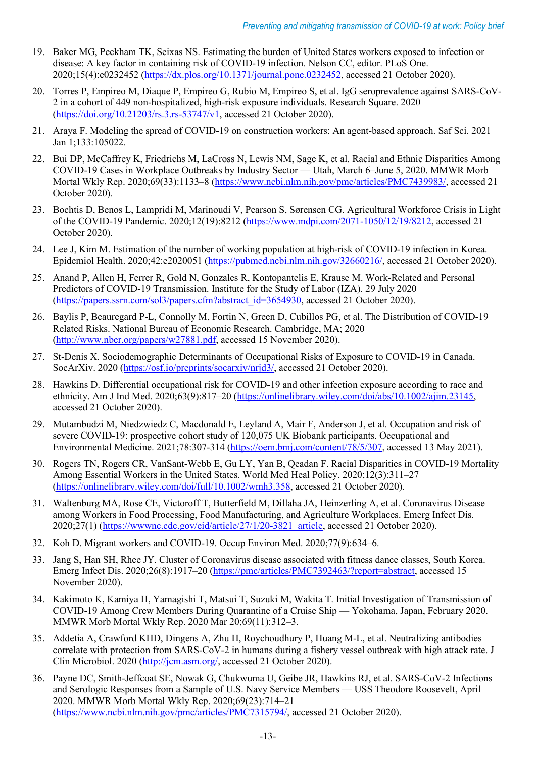- 19. Baker MG, Peckham TK, Seixas NS. Estimating the burden of United States workers exposed to infection or disease: A key factor in containing risk of COVID-19 infection. Nelson CC, editor. PLoS One. 2020;15(4):e0232452 [\(https://dx.plos.org/10.1371/journal.pone.0232452,](https://dx.plos.org/10.1371/journal.pone.0232452) accessed 21 October 2020).
- 20. Torres P, Empireo M, Diaque P, Empireo G, Rubio M, Empireo S, et al. IgG seroprevalence against SARS-CoV-2 in a cohort of 449 non-hospitalized, high-risk exposure individuals. Research Square. 2020 [\(https://doi.org/10.21203/rs.3.rs-53747/v1,](https://doi.org/10.21203/rs.3.rs-53747/v1) accessed 21 October 2020).
- 21. Araya F. Modeling the spread of COVID-19 on construction workers: An agent-based approach. Saf Sci. 2021 Jan 1;133:105022.
- 22. Bui DP, McCaffrey K, Friedrichs M, LaCross N, Lewis NM, Sage K, et al. Racial and Ethnic Disparities Among COVID-19 Cases in Workplace Outbreaks by Industry Sector — Utah, March 6–June 5, 2020. MMWR Morb Mortal Wkly Rep. 2020;69(33):1133–8 [\(https://www.ncbi.nlm.nih.gov/pmc/articles/PMC7439983/,](https://www.ncbi.nlm.nih.gov/pmc/articles/PMC7439983/) accessed 21 October 2020).
- 23. Bochtis D, Benos L, Lampridi M, Marinoudi V, Pearson S, Sørensen CG. Agricultural Workforce Crisis in Light of the COVID-19 Pandemic. 2020;12(19):8212 [\(https://www.mdpi.com/2071-1050/12/19/8212,](https://www.mdpi.com/2071-1050/12/19/8212) accessed 21 October 2020).
- 24. Lee J, Kim M. Estimation of the number of working population at high-risk of COVID-19 infection in Korea. Epidemiol Health. 2020;42:e2020051 [\(https://pubmed.ncbi.nlm.nih.gov/32660216/,](https://pubmed.ncbi.nlm.nih.gov/32660216/) accessed 21 October 2020).
- 25. Anand P, Allen H, Ferrer R, Gold N, Gonzales R, Kontopantelis E, Krause M. Work-Related and Personal Predictors of COVID-19 Transmission. Institute for the Study of Labor (IZA). 29 July 2020 [\(https://papers.ssrn.com/sol3/papers.cfm?abstract\\_id=3654930,](https://papers.ssrn.com/sol3/papers.cfm?abstract_id=3654930) accessed 21 October 2020).
- 26. Baylis P, Beauregard P-L, Connolly M, Fortin N, Green D, Cubillos PG, et al. The Distribution of COVID-19 Related Risks. National Bureau of Economic Research. Cambridge, MA; 2020 [\(http://www.nber.org/papers/w27881.pdf,](http://www.nber.org/papers/w27881.pdf) accessed 15 November 2020).
- 27. St-Denis X. Sociodemographic Determinants of Occupational Risks of Exposure to COVID-19 in Canada. SocArXiv. 2020 [\(https://osf.io/preprints/socarxiv/nrjd3/,](https://osf.io/preprints/socarxiv/nrjd3/) accessed 21 October 2020).
- 28. Hawkins D. Differential occupational risk for COVID‐19 and other infection exposure according to race and ethnicity. Am J Ind Med. 2020;63(9):817–20 [\(https://onlinelibrary.wiley.com/doi/abs/10.1002/ajim.23145,](https://onlinelibrary.wiley.com/doi/abs/10.1002/ajim.23145) accessed 21 October 2020).
- 29. Mutambudzi M, Niedzwiedz C, Macdonald E, Leyland A, Mair F, Anderson J, et al. Occupation and risk of severe COVID-19: prospective cohort study of 120,075 UK Biobank participants. Occupational and Environmental Medicine. 2021;78:307-314 [\(https://oem.bmj.com/content/78/5/307,](https://oem.bmj.com/content/78/5/307) accessed 13 May 2021).
- 30. Rogers TN, Rogers CR, VanSant-Webb E, Gu LY, Yan B, Qeadan F. Racial Disparities in COVID-19 Mortality Among Essential Workers in the United States. World Med Heal Policy. 2020;12(3):311–27 [\(https://onlinelibrary.wiley.com/doi/full/10.1002/wmh3.358,](https://onlinelibrary.wiley.com/doi/full/10.1002/wmh3.358) accessed 21 October 2020).
- 31. Waltenburg MA, Rose CE, Victoroff T, Butterfield M, Dillaha JA, Heinzerling A, et al. Coronavirus Disease among Workers in Food Processing, Food Manufacturing, and Agriculture Workplaces. Emerg Infect Dis. 2020;27(1) [\(https://wwwnc.cdc.gov/eid/article/27/1/20-3821\\_article,](https://wwwnc.cdc.gov/eid/article/27/1/20-3821_article) accessed 21 October 2020).
- 32. Koh D. Migrant workers and COVID-19. Occup Environ Med. 2020;77(9):634–6.
- 33. Jang S, Han SH, Rhee JY. Cluster of Coronavirus disease associated with fitness dance classes, South Korea. Emerg Infect Dis. 2020;26(8):1917–20 [\(https://pmc/articles/PMC7392463/?report=abstract,](https://pmc/articles/PMC7392463/?report=abstract) accessed 15 November 2020).
- 34. Kakimoto K, Kamiya H, Yamagishi T, Matsui T, Suzuki M, Wakita T. Initial Investigation of Transmission of COVID-19 Among Crew Members During Quarantine of a Cruise Ship — Yokohama, Japan, February 2020. MMWR Morb Mortal Wkly Rep. 2020 Mar 20;69(11):312–3.
- 35. Addetia A, Crawford KHD, Dingens A, Zhu H, Roychoudhury P, Huang M-L, et al. Neutralizing antibodies correlate with protection from SARS-CoV-2 in humans during a fishery vessel outbreak with high attack rate. J Clin Microbiol. 2020 [\(http://jcm.asm.org/,](http://jcm.asm.org/) accessed 21 October 2020).
- 36. Payne DC, Smith-Jeffcoat SE, Nowak G, Chukwuma U, Geibe JR, Hawkins RJ, et al. SARS-CoV-2 Infections and Serologic Responses from a Sample of U.S. Navy Service Members — USS Theodore Roosevelt, April 2020. MMWR Morb Mortal Wkly Rep. 2020;69(23):714–21 [\(https://www.ncbi.nlm.nih.gov/pmc/articles/PMC7315794/,](https://www.ncbi.nlm.nih.gov/pmc/articles/PMC7315794/) accessed 21 October 2020).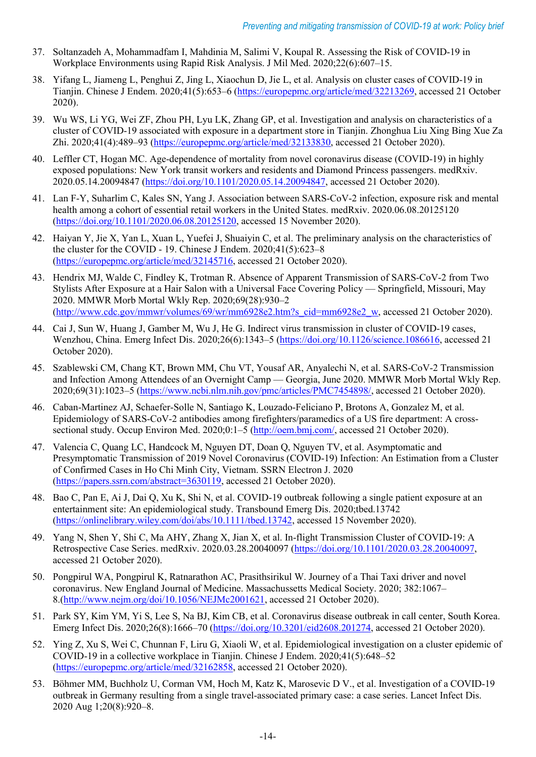- 37. Soltanzadeh A, Mohammadfam I, Mahdinia M, Salimi V, Koupal R. Assessing the Risk of COVID-19 in Workplace Environments using Rapid Risk Analysis. J Mil Med. 2020;22(6):607–15.
- 38. Yifang L, Jiameng L, Penghui Z, Jing L, Xiaochun D, Jie L, et al. Analysis on cluster cases of COVID-19 in Tianjin. Chinese J Endem. 2020;41(5):653–6 [\(https://europepmc.org/article/med/32213269,](https://europepmc.org/article/med/32213269) accessed 21 October 2020).
- 39. Wu WS, Li YG, Wei ZF, Zhou PH, Lyu LK, Zhang GP, et al. Investigation and analysis on characteristics of a cluster of COVID-19 associated with exposure in a department store in Tianjin. Zhonghua Liu Xing Bing Xue Za Zhi. 2020;41(4):489–93 [\(https://europepmc.org/article/med/32133830,](https://europepmc.org/article/med/32133830) accessed 21 October 2020).
- 40. Leffler CT, Hogan MC. Age-dependence of mortality from novel coronavirus disease (COVID-19) in highly exposed populations: New York transit workers and residents and Diamond Princess passengers. medRxiv. 2020.05.14.20094847 [\(https://doi.org/10.1101/2020.05.14.20094847,](https://doi.org/10.1101/2020.05.14.20094847) accessed 21 October 2020).
- 41. Lan F-Y, Suharlim C, Kales SN, Yang J. Association between SARS-CoV-2 infection, exposure risk and mental health among a cohort of essential retail workers in the United States. medRxiv. 2020.06.08.20125120 [\(https://doi.org/10.1101/2020.06.08.20125120,](https://doi.org/10.1101/2020.06.08.20125120) accessed 15 November 2020).
- 42. Haiyan Y, Jie X, Yan L, Xuan L, Yuefei J, Shuaiyin C, et al. The preliminary analysis on the characteristics of the cluster for the COVID - 19. Chinese J Endem. 2020;41(5):623–8 [\(https://europepmc.org/article/med/32145716,](https://europepmc.org/article/med/32145716) accessed 21 October 2020).
- 43. Hendrix MJ, Walde C, Findley K, Trotman R. Absence of Apparent Transmission of SARS-CoV-2 from Two Stylists After Exposure at a Hair Salon with a Universal Face Covering Policy — Springfield, Missouri, May 2020. MMWR Morb Mortal Wkly Rep. 2020;69(28):930–2 [\(http://www.cdc.gov/mmwr/volumes/69/wr/mm6928e2.htm?s\\_cid=mm6928e2\\_w,](http://www.cdc.gov/mmwr/volumes/69/wr/mm6928e2.htm?s_cid=mm6928e2_w) accessed 21 October 2020).
- 44. Cai J, Sun W, Huang J, Gamber M, Wu J, He G. Indirect virus transmission in cluster of COVID-19 cases, Wenzhou, China. Emerg Infect Dis. 2020;26(6):1343–5 [\(https://doi.org/10.1126/science.1086616,](https://doi.org/10.1126/science.1086616) accessed 21 October 2020).
- 45. Szablewski CM, Chang KT, Brown MM, Chu VT, Yousaf AR, Anyalechi N, et al. SARS-CoV-2 Transmission and Infection Among Attendees of an Overnight Camp — Georgia, June 2020. MMWR Morb Mortal Wkly Rep. 2020;69(31):1023–5 [\(https://www.ncbi.nlm.nih.gov/pmc/articles/PMC7454898/,](https://www.ncbi.nlm.nih.gov/pmc/articles/PMC7454898/) accessed 21 October 2020).
- 46. Caban-Martinez AJ, Schaefer-Solle N, Santiago K, Louzado-Feliciano P, Brotons A, Gonzalez M, et al. Epidemiology of SARS-CoV-2 antibodies among firefighters/paramedics of a US fire department: A crosssectional study. Occup Environ Med. 2020;0:1–5 [\(http://oem.bmj.com/,](http://oem.bmj.com/) accessed 21 October 2020).
- 47. Valencia C, Quang LC, Handcock M, Nguyen DT, Doan Q, Nguyen TV, et al. Asymptomatic and Presymptomatic Transmission of 2019 Novel Coronavirus (COVID-19) Infection: An Estimation from a Cluster of Confirmed Cases in Ho Chi Minh City, Vietnam. SSRN Electron J. 2020 [\(https://papers.ssrn.com/abstract=3630119,](https://papers.ssrn.com/abstract=3630119) accessed 21 October 2020).
- 48. Bao C, Pan E, Ai J, Dai Q, Xu K, Shi N, et al. COVID‐19 outbreak following a single patient exposure at an entertainment site: An epidemiological study. Transbound Emerg Dis. 2020;tbed.13742 [\(https://onlinelibrary.wiley.com/doi/abs/10.1111/tbed.13742,](https://onlinelibrary.wiley.com/doi/abs/10.1111/tbed.13742) accessed 15 November 2020).
- 49. Yang N, Shen Y, Shi C, Ma AHY, Zhang X, Jian X, et al. In-flight Transmission Cluster of COVID-19: A Retrospective Case Series. medRxiv. 2020.03.28.20040097 [\(https://doi.org/10.1101/2020.03.28.20040097,](https://doi.org/10.1101/2020.03.28.20040097) accessed 21 October 2020).
- 50. Pongpirul WA, Pongpirul K, Ratnarathon AC, Prasithsirikul W. Journey of a Thai Taxi driver and novel coronavirus. New England Journal of Medicine. Massachussetts Medical Society. 2020; 382:1067– 8.[\(http://www.nejm.org/doi/10.1056/NEJMc2001621,](http://www.nejm.org/doi/10.1056/NEJMc2001621) accessed 21 October 2020).
- 51. Park SY, Kim YM, Yi S, Lee S, Na BJ, Kim CB, et al. Coronavirus disease outbreak in call center, South Korea. Emerg Infect Dis. 2020;26(8):1666–70 [\(https://doi.org/10.3201/eid2608.201274,](https://doi.org/10.3201/eid2608.201274) accessed 21 October 2020).
- 52. Ying Z, Xu S, Wei C, Chunnan F, Liru G, Xiaoli W, et al. Epidemiological investigation on a cluster epidemic of COVID-19 in a collective workplace in Tianjin. Chinese J Endem. 2020;41(5):648–52 [\(https://europepmc.org/article/med/32162858,](https://europepmc.org/article/med/32162858) accessed 21 October 2020).
- 53. Böhmer MM, Buchholz U, Corman VM, Hoch M, Katz K, Marosevic D V., et al. Investigation of a COVID-19 outbreak in Germany resulting from a single travel-associated primary case: a case series. Lancet Infect Dis. 2020 Aug 1;20(8):920–8.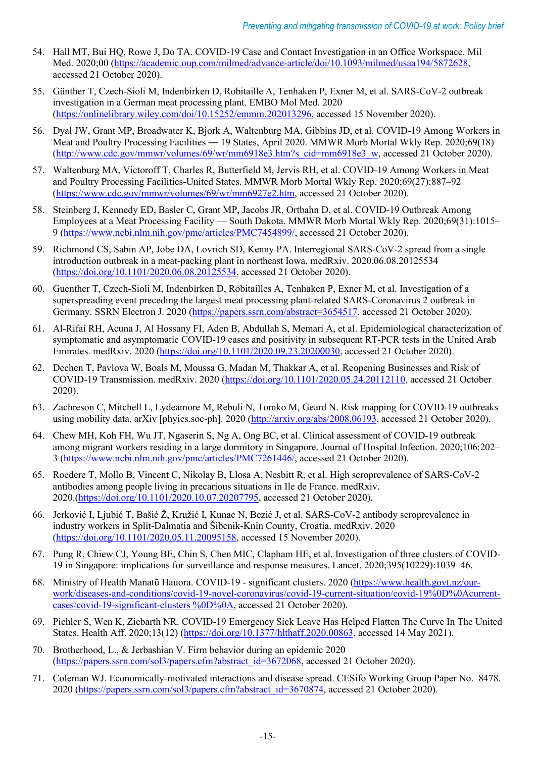- 54. Hall MT, Bui HQ, Rowe J, Do TA. COVID-19 Case and Contact Investigation in an Office Workspace. Mil Med. 2020;00 [\(https://academic.oup.com/milmed/advance-article/doi/10.1093/milmed/usaa194/5872628,](https://academic.oup.com/milmed/advance-article/doi/10.1093/milmed/usaa194/5872628) accessed 21 October 2020).
- 55. Günther T, Czech‐Sioli M, Indenbirken D, Robitaille A, Tenhaken P, Exner M, et al. SARS‐CoV‐2 outbreak investigation in a German meat processing plant. EMBO Mol Med. 2020 [\(https://onlinelibrary.wiley.com/doi/10.15252/emmm.202013296,](https://onlinelibrary.wiley.com/doi/10.15252/emmm.202013296) accessed 15 November 2020).
- 56. Dyal JW, Grant MP, Broadwater K, Bjork A, Waltenburg MA, Gibbins JD, et al. COVID-19 Among Workers in Meat and Poultry Processing Facilities ― 19 States, April 2020. MMWR Morb Mortal Wkly Rep. 2020;69(18) [\(http://www.cdc.gov/mmwr/volumes/69/wr/mm6918e3.htm?s\\_cid=mm6918e3\\_w,](http://www.cdc.gov/mmwr/volumes/69/wr/mm6918e3.htm?s_cid=mm6918e3_w) accessed 21 October 2020).
- 57. Waltenburg MA, Victoroff T, Charles R, Butterfield M, Jervis RH, et al. COVID-19 Among Workers in Meat and Poultry Processing Facilities-United States. MMWR Morb Mortal Wkly Rep. 2020;69(27):887–92 [\(https://www.cdc.gov/mmwr/volumes/69/wr/mm6927e2.htm,](https://www.cdc.gov/mmwr/volumes/69/wr/mm6927e2.htm) accessed 21 October 2020).
- 58. Steinberg J, Kennedy ED, Basler C, Grant MP, Jacobs JR, Ortbahn D, et al. COVID-19 Outbreak Among Employees at a Meat Processing Facility — South Dakota. MMWR Morb Mortal Wkly Rep. 2020;69(31):1015– 9 [\(https://www.ncbi.nlm.nih.gov/pmc/articles/PMC7454899/,](https://www.ncbi.nlm.nih.gov/pmc/articles/PMC7454899/) accessed 21 October 2020).
- 59. Richmond CS, Sabin AP, Jobe DA, Lovrich SD, Kenny PA. Interregional SARS-CoV-2 spread from a single introduction outbreak in a meat-packing plant in northeast Iowa. medRxiv. 2020.06.08.20125534 [\(https://doi.org/10.1101/2020.06.08.20125534,](https://doi.org/10.1101/2020.06.08.20125534) accessed 21 October 2020).
- 60. Guenther T, Czech-Sioli M, Indenbirken D, Robitailles A, Tenhaken P, Exner M, et al. Investigation of a superspreading event preceding the largest meat processing plant-related SARS-Coronavirus 2 outbreak in Germany. SSRN Electron J. 2020 [\(https://papers.ssrn.com/abstract=3654517,](https://papers.ssrn.com/abstract=3654517) accessed 21 October 2020).
- 61. Al-Rifai RH, Acuna J, Al Hossany FI, Aden B, Abdullah S, Memari A, et al. Epidemiological characterization of symptomatic and asymptomatic COVID-19 cases and positivity in subsequent RT-PCR tests in the United Arab Emirates. medRxiv. 2020 [\(https://doi.org/10.1101/2020.09.23.20200030,](https://doi.org/10.1101/2020.09.23.20200030) accessed 21 October 2020).
- 62. Dechen T, Pavlova W, Boals M, Moussa G, Madan M, Thakkar A, et al. Reopening Businesses and Risk of COVID-19 Transmission. medRxiv. 2020 [\(https://doi.org/10.1101/2020.05.24.20112110,](https://doi.org/10.1101/2020.05.24.20112110) accessed 21 October 2020).
- 63. Zachreson C, Mitchell L, Lydeamore M, Rebuli N, Tomko M, Geard N. Risk mapping for COVID-19 outbreaks using mobility data. arXiv [phyics.soc-ph]. 2020 [\(http://arxiv.org/abs/2008.06193,](http://arxiv.org/abs/2008.06193) accessed 21 October 2020).
- 64. Chew MH, Koh FH, Wu JT, Ngaserin S, Ng A, Ong BC, et al. Clinical assessment of COVID-19 outbreak among migrant workers residing in a large dormitory in Singapore. Journal of Hospital Infection. 2020;106:202– 3 [\(https://www.ncbi.nlm.nih.gov/pmc/articles/PMC7261446/,](https://www.ncbi.nlm.nih.gov/pmc/articles/PMC7261446/) accessed 21 October 2020).
- 65. Roedere T, Mollo B, Vincent C, Nikolay B, Llosa A, Nesbitt R, et al. High seroprevalence of SARS-CoV-2 antibodies among people living in precarious situations in Ile de France. medRxiv. 2020.[\(https://doi.org/10.1101/2020.10.07.20207795,](https://doi.org/10.1101/2020.10.07.20207795) accessed 21 October 2020).
- 66. Jerković I, Ljubić T, Bašić Ž, Kružić I, Kunac N, Bezić J, et al. SARS-CoV-2 antibody seroprevalence in industry workers in Split-Dalmatia and Šibenik-Knin County, Croatia. medRxiv. 2020 [\(https://doi.org/10.1101/2020.05.11.20095158,](https://doi.org/10.1101/2020.05.11.20095158) accessed 15 November 2020).
- 67. Pung R, Chiew CJ, Young BE, Chin S, Chen MIC, Clapham HE, et al. Investigation of three clusters of COVID-19 in Singapore: implications for surveillance and response measures. Lancet. 2020;395(10229):1039–46.
- 68. Ministry of Health Manatū Hauora. COVID-19 significant clusters. 2020 [\(https://www.health.govt.nz/our](https://www.health.govt.nz/our-work/diseases-and-conditions/covid-19-novel-coronavirus/covid-19-current-situation/covid-19%0D%0Acurrent-cases/covid-19-significant-clusters%20%0D%0A)[work/diseases-and-conditions/covid-19-novel-coronavirus/covid-19-current-situation/covid-19%0D%0Acurrent](https://www.health.govt.nz/our-work/diseases-and-conditions/covid-19-novel-coronavirus/covid-19-current-situation/covid-19%0D%0Acurrent-cases/covid-19-significant-clusters%20%0D%0A)[cases/covid-19-significant-clusters %0D%0A,](https://www.health.govt.nz/our-work/diseases-and-conditions/covid-19-novel-coronavirus/covid-19-current-situation/covid-19%0D%0Acurrent-cases/covid-19-significant-clusters%20%0D%0A) accessed 21 October 2020).
- 69. Pichler S, Wen K, Ziebarth NR. COVID-19 Emergency Sick Leave Has Helped Flatten The Curve In The United States. Health Aff. 2020;13(12) [\(https://doi.org/10.1377/hlthaff.2020.00863,](https://doi.org/10.1377/hlthaff.2020.00863) accessed 14 May 2021).
- 70. Brotherhood, L., & Jerbashian V. Firm behavior during an epidemic 2020 [\(https://papers.ssrn.com/sol3/papers.cfm?abstract\\_id=3672068,](https://papers.ssrn.com/sol3/papers.cfm?abstract_id=3672068) accessed 21 October 2020).
- 71. Coleman WJ. Economically-motivated interactions and disease spread. CESifo Working Group Paper No. 8478. 2020 [\(https://papers.ssrn.com/sol3/papers.cfm?abstract\\_id=3670874,](https://papers.ssrn.com/sol3/papers.cfm?abstract_id=3670874) accessed 21 October 2020).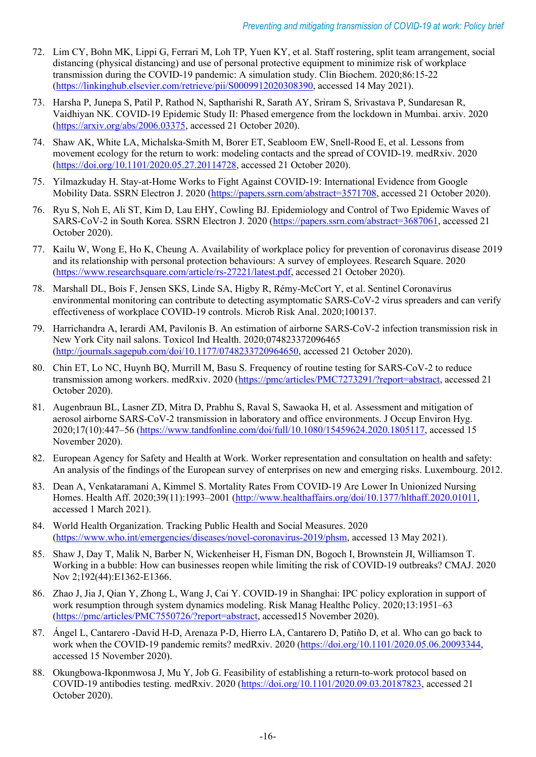- 72. Lim CY, Bohn MK, Lippi G, Ferrari M, Loh TP, Yuen KY, et al. Staff rostering, split team arrangement, social distancing (physical distancing) and use of personal protective equipment to minimize risk of workplace transmission during the COVID-19 pandemic: A simulation study. Clin Biochem. 2020;86:15-22 [\(https://linkinghub.elsevier.com/retrieve/pii/S0009912020308390,](https://linkinghub.elsevier.com/retrieve/pii/S0009912020308390) accessed 14 May 2021).
- 73. Harsha P, Junepa S, Patil P, Rathod N, Saptharishi R, Sarath AY, Sriram S, Srivastava P, Sundaresan R, Vaidhiyan NK. COVID-19 Epidemic Study II: Phased emergence from the lockdown in Mumbai. arxiv. 2020 [\(https://arxiv.org/abs/2006.03375,](https://arxiv.org/abs/2006.03375) accessed 21 October 2020).
- 74. Shaw AK, White LA, Michalska-Smith M, Borer ET, Seabloom EW, Snell-Rood E, et al. Lessons from movement ecology for the return to work: modeling contacts and the spread of COVID-19. medRxiv. 2020 [\(https://doi.org/10.1101/2020.05.27.20114728,](https://doi.org/10.1101/2020.05.27.20114728) accessed 21 October 2020).
- 75. Yilmazkuday H. Stay-at-Home Works to Fight Against COVID-19: International Evidence from Google Mobility Data. SSRN Electron J. 2020 [\(https://papers.ssrn.com/abstract=3571708,](https://papers.ssrn.com/abstract=3571708) accessed 21 October 2020).
- 76. Ryu S, Noh E, Ali ST, Kim D, Lau EHY, Cowling BJ. Epidemiology and Control of Two Epidemic Waves of SARS-CoV-2 in South Korea. SSRN Electron J. 2020 [\(https://papers.ssrn.com/abstract=3687061,](https://papers.ssrn.com/abstract=3687061) accessed 21 October 2020).
- 77. Kailu W, Wong E, Ho K, Cheung A. Availability of workplace policy for prevention of coronavirus disease 2019 and its relationship with personal protection behaviours: A survey of employees. Research Square. 2020 [\(https://www.researchsquare.com/article/rs-27221/latest.pdf,](https://www.researchsquare.com/article/rs-27221/latest.pdf) accessed 21 October 2020).
- 78. Marshall DL, Bois F, Jensen SKS, Linde SA, Higby R, Rémy-McCort Y, et al. Sentinel Coronavirus environmental monitoring can contribute to detecting asymptomatic SARS-CoV-2 virus spreaders and can verify effectiveness of workplace COVID-19 controls. Microb Risk Anal. 2020;100137.
- 79. Harrichandra A, Ierardi AM, Pavilonis B. An estimation of airborne SARS-CoV-2 infection transmission risk in New York City nail salons. Toxicol Ind Health. 2020;074823372096465 [\(http://journals.sagepub.com/doi/10.1177/0748233720964650,](http://journals.sagepub.com/doi/10.1177/0748233720964650) accessed 21 October 2020).
- 80. Chin ET, Lo NC, Huynh BQ, Murrill M, Basu S. Frequency of routine testing for SARS-CoV-2 to reduce transmission among workers. medRxiv. 2020 [\(https://pmc/articles/PMC7273291/?report=abstract,](https://pmc/articles/PMC7273291/?report=abstract) accessed 21 October 2020).
- 81. Augenbraun BL, Lasner ZD, Mitra D, Prabhu S, Raval S, Sawaoka H, et al. Assessment and mitigation of aerosol airborne SARS-CoV-2 transmission in laboratory and office environments. J Occup Environ Hyg. 2020;17(10):447–56 [\(https://www.tandfonline.com/doi/full/10.1080/15459624.2020.1805117,](https://www.tandfonline.com/doi/full/10.1080/15459624.2020.1805117) accessed 15 November 2020).
- 82. European Agency for Safety and Health at Work. Worker representation and consultation on health and safety: An analysis of the findings of the European survey of enterprises on new and emerging risks. Luxembourg. 2012.
- 83. Dean A, Venkataramani A, Kimmel S. Mortality Rates From COVID-19 Are Lower In Unionized Nursing Homes. Health Aff. 2020;39(11):1993–2001 [\(http://www.healthaffairs.org/doi/10.1377/hlthaff.2020.01011,](http://www.healthaffairs.org/doi/10.1377/hlthaff.2020.01011) accessed 1 March 2021).
- 84. World Health Organization. Tracking Public Health and Social Measures. 2020 [\(https://www.who.int/emergencies/diseases/novel-coronavirus-2019/phsm,](https://www.who.int/emergencies/diseases/novel-coronavirus-2019/phsm) accessed 13 May 2021).
- 85. Shaw J, Day T, Malik N, Barber N, Wickenheiser H, Fisman DN, Bogoch I, Brownstein JI, Williamson T. Working in a bubble: How can businesses reopen while limiting the risk of COVID-19 outbreaks? CMAJ. 2020 Nov 2;192(44):E1362-E1366.
- 86. Zhao J, Jia J, Qian Y, Zhong L, Wang J, Cai Y. COVID-19 in Shanghai: IPC policy exploration in support of work resumption through system dynamics modeling. Risk Manag Healthc Policy. 2020;13:1951–63 [\(https://pmc/articles/PMC7550726/?report=abstract,](https://pmc/articles/PMC7550726/?report=abstract) accessed15 November 2020).
- 87. Ángel L, Cantarero -David H-D, Arenaza P-D, Hierro LA, Cantarero D, Patiño D, et al. Who can go back to work when the COVID-19 pandemic remits? medRxiv. 2020 [\(https://doi.org/10.1101/2020.05.06.20093344,](https://doi.org/10.1101/2020.05.06.20093344) accessed 15 November 2020).
- 88. Okungbowa-Ikponmwosa J, Mu Y, Job G. Feasibility of establishing a return-to-work protocol based on COVID-19 antibodies testing. medRxiv. 2020 [\(https://doi.org/10.1101/2020.09.03.20187823,](https://doi.org/10.1101/2020.09.03.20187823) accessed 21 October 2020).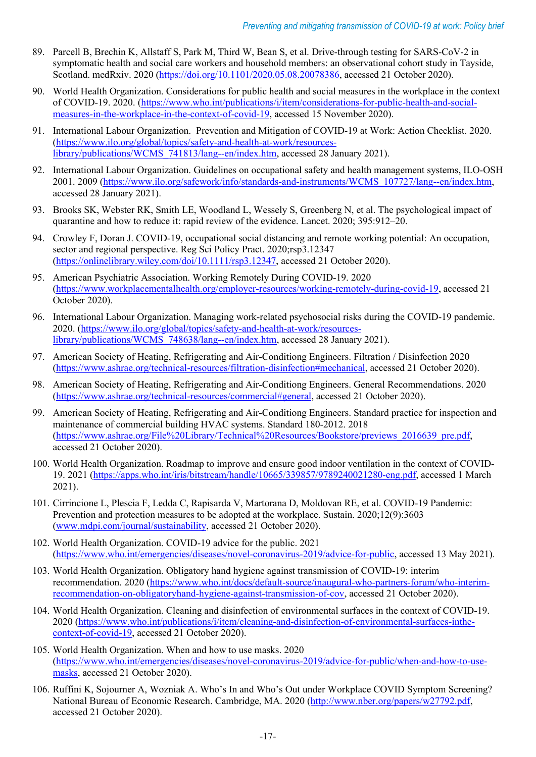- 89. Parcell B, Brechin K, Allstaff S, Park M, Third W, Bean S, et al. Drive-through testing for SARS-CoV-2 in symptomatic health and social care workers and household members: an observational cohort study in Tayside, Scotland. medRxiv. 2020 [\(https://doi.org/10.1101/2020.05.08.20078386,](https://doi.org/10.1101/2020.05.08.20078386) accessed 21 October 2020).
- 90. World Health Organization. Considerations for public health and social measures in the workplace in the context of COVID-19. 2020. [\(https://www.who.int/publications/i/item/considerations-for-public-health-and-social](https://www.who.int/publications/i/item/considerations-for-public-health-and-social-measures-in-the-workplace-in-the-context-of-covid-19)[measures-in-the-workplace-in-the-context-of-covid-19,](https://www.who.int/publications/i/item/considerations-for-public-health-and-social-measures-in-the-workplace-in-the-context-of-covid-19) accessed 15 November 2020).
- 91. International Labour Organization. Prevention and Mitigation of COVID-19 at Work: Action Checklist. 2020. [\(https://www.ilo.org/global/topics/safety-and-health-at-work/resources](https://www.ilo.org/global/topics/safety-and-health-at-work/resources-library/publications/WCMS_741813/lang--en/index.htm)[library/publications/WCMS\\_741813/lang--en/index.htm,](https://www.ilo.org/global/topics/safety-and-health-at-work/resources-library/publications/WCMS_741813/lang--en/index.htm) accessed 28 January 2021).
- 92. International Labour Organization. Guidelines on occupational safety and health management systems, ILO-OSH 2001. 2009 [\(https://www.ilo.org/safework/info/standards-and-instruments/WCMS\\_107727/lang--en/index.htm,](https://www.ilo.org/safework/info/standards-and-instruments/WCMS_107727/lang--en/index.htm) accessed 28 January 2021).
- 93. Brooks SK, Webster RK, Smith LE, Woodland L, Wessely S, Greenberg N, et al. The psychological impact of quarantine and how to reduce it: rapid review of the evidence. Lancet. 2020; 395:912–20.
- 94. Crowley F, Doran J. COVID-19, occupational social distancing and remote working potential: An occupation, sector and regional perspective. Reg Sci Policy Pract. 2020;rsp3.12347 [\(https://onlinelibrary.wiley.com/doi/10.1111/rsp3.12347,](https://onlinelibrary.wiley.com/doi/10.1111/rsp3.12347) accessed 21 October 2020).
- 95. American Psychiatric Association. Working Remotely During COVID-19. 2020 [\(https://www.workplacementalhealth.org/employer-resources/working-remotely-during-covid-19,](https://www.workplacementalhealth.org/employer-resources/working-remotely-during-covid-19) accessed 21 October 2020).
- 96. International Labour Organization. Managing work-related psychosocial risks during the COVID-19 pandemic. 2020. [\(https://www.ilo.org/global/topics/safety-and-health-at-work/resources](https://www.ilo.org/global/topics/safety-and-health-at-work/resources-library/publications/WCMS_748638/lang--en/index.htm)[library/publications/WCMS\\_748638/lang--en/index.htm,](https://www.ilo.org/global/topics/safety-and-health-at-work/resources-library/publications/WCMS_748638/lang--en/index.htm) accessed 28 January 2021).
- 97. American Society of Heating, Refrigerating and Air-Conditiong Engineers. Filtration / Disinfection 2020 [\(https://www.ashrae.org/technical-resources/filtration-disinfection#mechanical,](https://www.ashrae.org/technical-resources/filtration-disinfection#mechanical) accessed 21 October 2020).
- 98. American Society of Heating, Refrigerating and Air-Conditiong Engineers. General Recommendations. 2020 [\(https://www.ashrae.org/technical-resources/commercial#general,](https://www.ashrae.org/technical-resources/commercial#general) accessed 21 October 2020).
- 99. American Society of Heating, Refrigerating and Air-Conditiong Engineers. Standard practice for inspection and maintenance of commercial building HVAC systems. Standard 180-2012. 2018 [\(https://www.ashrae.org/File%20Library/Technical%20Resources/Bookstore/previews\\_2016639\\_pre.pdf,](https://www.ashrae.org/File%20Library/Technical%20Resources/Bookstore/previews_2016639_pre.pdf) accessed 21 October 2020).
- 100. World Health Organization. Roadmap to improve and ensure good indoor ventilation in the context of COVID-19. 2021 [\(https://apps.who.int/iris/bitstream/handle/10665/339857/9789240021280-eng.pdf,](https://apps.who.int/iris/bitstream/handle/10665/339857/9789240021280-eng.pdf) accessed 1 March 2021).
- 101. Cirrincione L, Plescia F, Ledda C, Rapisarda V, Martorana D, Moldovan RE, et al. COVID-19 Pandemic: Prevention and protection measures to be adopted at the workplace. Sustain. 2020;12(9):3603 [\(www.mdpi.com/journal/sustainability,](http://www.mdpi.com/journal/sustainability) accessed 21 October 2020).
- 102. World Health Organization. COVID-19 advice for the public. 2021 [\(https://www.who.int/emergencies/diseases/novel-coronavirus-2019/advice-for-public,](https://www.who.int/emergencies/diseases/novel-coronavirus-2019/advice-for-public) accessed 13 May 2021).
- 103. World Health Organization. Obligatory hand hygiene against transmission of COVID-19: interim recommendation. 2020 [\(https://www.who.int/docs/default-source/inaugural-who-partners-forum/who-interim](https://www.who.int/docs/default-source/inaugural-who-partners-forum/who-interim-recommendation-on-obligatoryhand-hygiene-against-transmission-of-cov)[recommendation-on-obligatoryhand-hygiene-against-transmission-of-cov,](https://www.who.int/docs/default-source/inaugural-who-partners-forum/who-interim-recommendation-on-obligatoryhand-hygiene-against-transmission-of-cov) accessed 21 October 2020).
- 104. World Health Organization. Cleaning and disinfection of environmental surfaces in the context of COVID-19. 2020 [\(https://www.who.int/publications/i/item/cleaning-and-disinfection-of-environmental-surfaces-inthe](https://www.who.int/publications/i/item/cleaning-and-disinfection-of-environmental-surfaces-inthe-context-of-covid-19)[context-of-covid-19,](https://www.who.int/publications/i/item/cleaning-and-disinfection-of-environmental-surfaces-inthe-context-of-covid-19) accessed 21 October 2020).
- 105. World Health Organization. When and how to use masks. 2020 [\(https://www.who.int/emergencies/diseases/novel-coronavirus-2019/advice-for-public/when-and-how-to-use](https://www.who.int/emergencies/diseases/novel-coronavirus-2019/advice-for-public/when-and-how-to-use-masks)[masks,](https://www.who.int/emergencies/diseases/novel-coronavirus-2019/advice-for-public/when-and-how-to-use-masks) accessed 21 October 2020).
- 106. Ruffini K, Sojourner A, Wozniak A. Who's In and Who's Out under Workplace COVID Symptom Screening? National Bureau of Economic Research. Cambridge, MA. 2020 [\(http://www.nber.org/papers/w27792.pdf,](http://www.nber.org/papers/w27792.pdf) accessed 21 October 2020).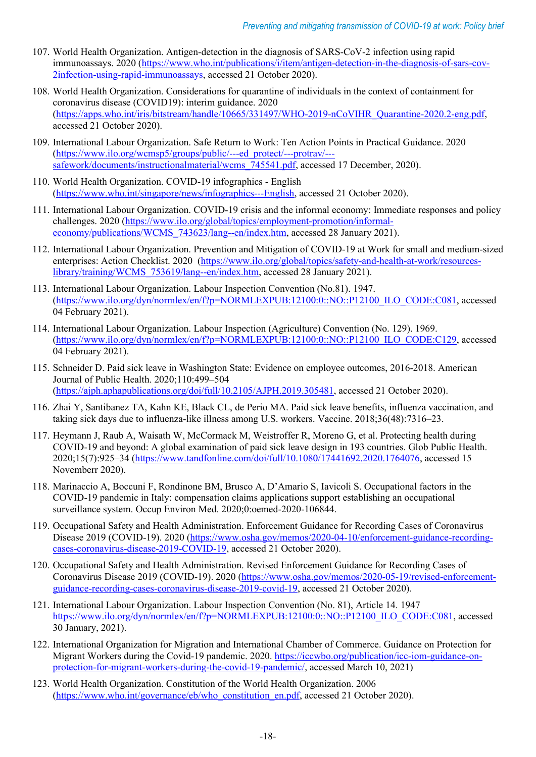- 107. World Health Organization. Antigen-detection in the diagnosis of SARS-CoV-2 infection using rapid immunoassays. 2020 [\(https://www.who.int/publications/i/item/antigen-detection-in-the-diagnosis-of-sars-cov-](https://www.who.int/publications/i/item/antigen-detection-in-the-diagnosis-of-sars-cov-2infection-using-rapid-immunoassays)[2infection-using-rapid-immunoassays,](https://www.who.int/publications/i/item/antigen-detection-in-the-diagnosis-of-sars-cov-2infection-using-rapid-immunoassays) accessed 21 October 2020).
- 108. World Health Organization. Considerations for quarantine of individuals in the context of containment for coronavirus disease (COVID19): interim guidance. 2020 [\(https://apps.who.int/iris/bitstream/handle/10665/331497/WHO-2019-nCoVIHR\\_Quarantine-2020.2-eng.pdf,](https://apps.who.int/iris/bitstream/handle/10665/331497/WHO-2019-nCoVIHR_Quarantine-2020.2-eng.pdf) accessed 21 October 2020).
- 109. International Labour Organization. Safe Return to Work: Ten Action Points in Practical Guidance. 2020 [\(https://www.ilo.org/wcmsp5/groups/public/---ed\\_protect/---protrav/--](https://www.ilo.org/wcmsp5/groups/public/---ed_protect/---protrav/---safework/documents/instructionalmaterial/wcms_745541.pdf) [safework/documents/instructionalmaterial/wcms\\_745541.pdf,](https://www.ilo.org/wcmsp5/groups/public/---ed_protect/---protrav/---safework/documents/instructionalmaterial/wcms_745541.pdf) accessed 17 December, 2020).
- 110. World Health Organization. COVID-19 infographics English [\(https://www.who.int/singapore/news/infographics---English,](https://www.who.int/singapore/news/infographics---English) accessed 21 October 2020).
- 111. International Labour Organization. COVID-19 crisis and the informal economy: Immediate responses and policy challenges. 2020 [\(https://www.ilo.org/global/topics/employment-promotion/informal](https://www.ilo.org/global/topics/employment-promotion/informal-economy/publications/WCMS_743623/lang--en/index.htm)economy/publications/WCMS 743623/lang--en/index.htm, accessed 28 January 2021).
- 112. International Labour Organization. Prevention and Mitigation of COVID-19 at Work for small and medium-sized enterprises: Action Checklist. 2020 [\(https://www.ilo.org/global/topics/safety-and-health-at-work/resources](https://www.ilo.org/global/topics/safety-and-health-at-work/resources-library/training/WCMS_753619/lang--en/index.htm)library/training/WCMS 753619/lang--en/index.htm, accessed 28 January 2021).
- 113. International Labour Organization. Labour Inspection Convention (No.81). 1947. [\(https://www.ilo.org/dyn/normlex/en/f?p=NORMLEXPUB:12100:0::NO::P12100\\_ILO\\_CODE:C081,](https://www.ilo.org/dyn/normlex/en/f?p=NORMLEXPUB:12100:0::NO::P12100_ILO_CODE:C081) accessed 04 February 2021).
- 114. International Labour Organization. Labour Inspection (Agriculture) Convention (No. 129). 1969. [\(https://www.ilo.org/dyn/normlex/en/f?p=NORMLEXPUB:12100:0::NO::P12100\\_ILO\\_CODE:C129,](https://www.ilo.org/dyn/normlex/en/f?p=NORMLEXPUB:12100:0::NO::P12100_ILO_CODE:C129) accessed 04 February 2021).
- 115. Schneider D. Paid sick leave in Washington State: Evidence on employee outcomes, 2016-2018. American Journal of Public Health. 2020;110:499–504 [\(https://ajph.aphapublications.org/doi/full/10.2105/AJPH.2019.305481,](https://ajph.aphapublications.org/doi/full/10.2105/AJPH.2019.305481) accessed 21 October 2020).
- 116. Zhai Y, Santibanez TA, Kahn KE, Black CL, de Perio MA. Paid sick leave benefits, influenza vaccination, and taking sick days due to influenza-like illness among U.S. workers. Vaccine. 2018;36(48):7316–23.
- 117. Heymann J, Raub A, Waisath W, McCormack M, Weistroffer R, Moreno G, et al. Protecting health during COVID-19 and beyond: A global examination of paid sick leave design in 193 countries. Glob Public Health. 2020;15(7):925–34 [\(https://www.tandfonline.com/doi/full/10.1080/17441692.2020.1764076,](https://www.tandfonline.com/doi/full/10.1080/17441692.2020.1764076) accessed 15 Novemberr 2020).
- 118. Marinaccio A, Boccuni F, Rondinone BM, Brusco A, D'Amario S, Iavicoli S. Occupational factors in the COVID-19 pandemic in Italy: compensation claims applications support establishing an occupational surveillance system. Occup Environ Med. 2020;0:oemed-2020-106844.
- 119. Occupational Safety and Health Administration. Enforcement Guidance for Recording Cases of Coronavirus Disease 2019 (COVID-19). 2020 [\(https://www.osha.gov/memos/2020-04-10/enforcement-guidance-recording](https://www.osha.gov/memos/2020-04-10/enforcement-guidance-recording-cases-coronavirus-disease-2019-COVID-19)[cases-coronavirus-disease-2019-COVID-19,](https://www.osha.gov/memos/2020-04-10/enforcement-guidance-recording-cases-coronavirus-disease-2019-COVID-19) accessed 21 October 2020).
- 120. Occupational Safety and Health Administration. Revised Enforcement Guidance for Recording Cases of Coronavirus Disease 2019 (COVID-19). 2020 [\(https://www.osha.gov/memos/2020-05-19/revised-enforcement](https://www.osha.gov/memos/2020-05-19/revised-enforcement-guidance-recording-cases-coronavirus-disease-2019-covid-19)[guidance-recording-cases-coronavirus-disease-2019-covid-19,](https://www.osha.gov/memos/2020-05-19/revised-enforcement-guidance-recording-cases-coronavirus-disease-2019-covid-19) accessed 21 October 2020).
- 121. International Labour Organization. Labour Inspection Convention (No. 81), Article 14. 1947 [https://www.ilo.org/dyn/normlex/en/f?p=NORMLEXPUB:12100:0::NO::P12100\\_ILO\\_CODE:C081,](https://www.ilo.org/dyn/normlex/en/f?p=NORMLEXPUB:12100:0::NO::P12100_ILO_CODE:C081) accessed 30 January, 2021).
- 122. International Organization for Migration and International Chamber of Commerce. Guidance on Protection for Migrant Workers during the Covid-19 pandemic. 2020. [https://iccwbo.org/publication/icc-iom-guidance-on](https://iccwbo.org/publication/icc-iom-guidance-on-protection-for-migrant-workers-during-the-covid-19-pandemic/)[protection-for-migrant-workers-during-the-covid-19-pandemic/,](https://iccwbo.org/publication/icc-iom-guidance-on-protection-for-migrant-workers-during-the-covid-19-pandemic/) accessed March 10, 2021)
- 123. World Health Organization. Constitution of the World Health Organization. 2006 [\(https://www.who.int/governance/eb/who\\_constitution\\_en.pdf,](https://www.who.int/governance/eb/who_constitution_en.pdf) accessed 21 October 2020).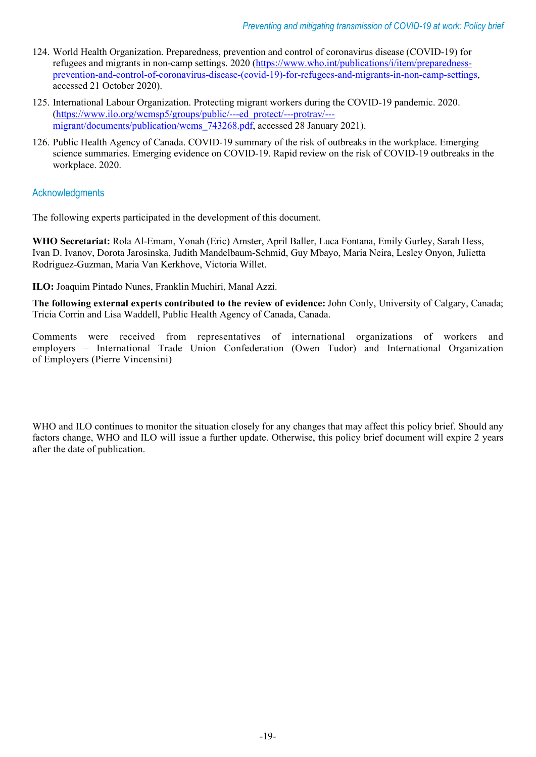- 124. World Health Organization. Preparedness, prevention and control of coronavirus disease (COVID-19) for refugees and migrants in non-camp settings. 2020 [\(https://www.who.int/publications/i/item/preparedness](https://www.who.int/publications/i/item/preparedness-prevention-and-control-of-coronavirus-disease-(covid-19)-for-refugees-and-migrants-in-non-camp-settings)[prevention-and-control-of-coronavirus-disease-\(covid-19\)-for-refugees-and-migrants-in-non-camp-settings,](https://www.who.int/publications/i/item/preparedness-prevention-and-control-of-coronavirus-disease-(covid-19)-for-refugees-and-migrants-in-non-camp-settings) accessed 21 October 2020).
- 125. International Labour Organization. Protecting migrant workers during the COVID-19 pandemic. 2020. [\(https://www.ilo.org/wcmsp5/groups/public/---ed\\_protect/---protrav/--](https://www.ilo.org/wcmsp5/groups/public/---ed_protect/---protrav/---migrant/documents/publication/wcms_743268.pdf) migrant/documents/publication/wcms 743268.pdf, accessed 28 January 2021).
- 126. Public Health Agency of Canada. COVID-19 summary of the risk of outbreaks in the workplace. Emerging science summaries. Emerging evidence on COVID-19. Rapid review on the risk of COVID-19 outbreaks in the workplace. 2020.

# **Acknowledgments**

The following experts participated in the development of this document.

**WHO Secretariat:** Rola Al-Emam, Yonah (Eric) Amster, April Baller, Luca Fontana, Emily Gurley, Sarah Hess, Ivan D. Ivanov, Dorota Jarosinska, Judith Mandelbaum-Schmid, Guy Mbayo, Maria Neira, Lesley Onyon, Julietta Rodriguez-Guzman, Maria Van Kerkhove, Victoria Willet.

**ILO:** Joaquim Pintado Nunes, Franklin Muchiri, Manal Azzi.

**The following external experts contributed to the review of evidence:** John Conly, University of Calgary, Canada; Tricia Corrin and Lisa Waddell, Public Health Agency of Canada, Canada.

Comments were received from representatives of international organizations of workers and employers – International Trade Union Confederation (Owen Tudor) and International Organization of Employers (Pierre Vincensini)

WHO and ILO continues to monitor the situation closely for any changes that may affect this policy brief. Should any factors change, WHO and ILO will issue a further update. Otherwise, this policy brief document will expire 2 years after the date of publication.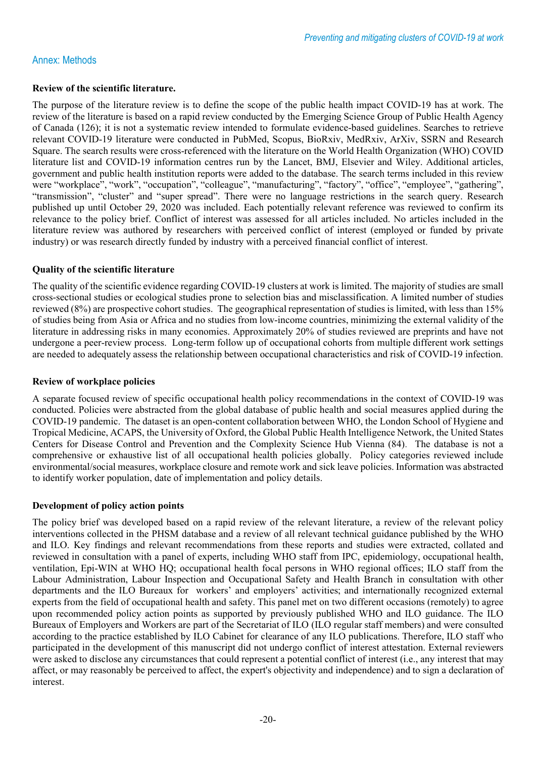#### Annex: Methods

#### **Review of the scientific literature.**

The purpose of the literature review is to define the scope of the public health impact COVID-19 has at work. The review of the literature is based on a rapid review conducted by the Emerging Science Group of Public Health Agency of Canada (126); it is not a systematic review intended to formulate evidence-based guidelines. Searches to retrieve relevant COVID-19 literature were conducted in PubMed, Scopus, BioRxiv, MedRxiv, ArXiv, SSRN and Research Square. The search results were cross-referenced with the literature on the World Health Organization (WHO) COVID literature list and COVID-19 information centres run by the Lancet, BMJ, Elsevier and Wiley. Additional articles, government and public health institution reports were added to the database. The search terms included in this review were "workplace", "work", "occupation", "colleague", "manufacturing", "factory", "office", "employee", "gathering", "transmission", "cluster" and "super spread". There were no language restrictions in the search query. Research published up until October 29, 2020 was included. Each potentially relevant reference was reviewed to confirm its relevance to the policy brief. Conflict of interest was assessed for all articles included. No articles included in the literature review was authored by researchers with perceived conflict of interest (employed or funded by private industry) or was research directly funded by industry with a perceived financial conflict of interest.

#### **Quality of the scientific literature**

The quality of the scientific evidence regarding COVID-19 clusters at work is limited. The majority of studies are small cross-sectional studies or ecological studies prone to selection bias and misclassification. A limited number of studies reviewed (8%) are prospective cohort studies. The geographical representation of studies is limited, with less than 15% of studies being from Asia or Africa and no studies from low-income countries, minimizing the external validity of the literature in addressing risks in many economies. Approximately 20% of studies reviewed are preprints and have not undergone a peer-review process. Long-term follow up of occupational cohorts from multiple different work settings are needed to adequately assess the relationship between occupational characteristics and risk of COVID-19 infection.

#### **Review of workplace policies**

A separate focused review of specific occupational health policy recommendations in the context of COVID-19 was conducted. Policies were abstracted from the global database of public health and social measures applied during the COVID-19 pandemic. The dataset is an open-content collaboration between WHO, the London School of Hygiene and Tropical Medicine, ACAPS, the University of Oxford, the Global Public Health Intelligence Network, the United States Centers for Disease Control and Prevention and the Complexity Science Hub Vienna (84). The database is not a comprehensive or exhaustive list of all occupational health policies globally. Policy categories reviewed include environmental/social measures, workplace closure and remote work and sick leave policies. Information was abstracted to identify worker population, date of implementation and policy details.

#### **Development of policy action points**

The policy brief was developed based on a rapid review of the relevant literature, a review of the relevant policy interventions collected in the PHSM database and a review of all relevant technical guidance published by the WHO and ILO. Key findings and relevant recommendations from these reports and studies were extracted, collated and reviewed in consultation with a panel of experts, including WHO staff from IPC, epidemiology, occupational health, ventilation, Epi-WIN at WHO HQ; occupational health focal persons in WHO regional offices; ILO staff from the Labour Administration, Labour Inspection and Occupational Safety and Health Branch in consultation with other departments and the ILO Bureaux for workers' and employers' activities; and internationally recognized external experts from the field of occupational health and safety. This panel met on two different occasions (remotely) to agree upon recommended policy action points as supported by previously published WHO and ILO guidance. The ILO Bureaux of Employers and Workers are part of the Secretariat of ILO (ILO regular staff members) and were consulted according to the practice established by ILO Cabinet for clearance of any ILO publications. Therefore, ILO staff who participated in the development of this manuscript did not undergo conflict of interest attestation. External reviewers were asked to disclose any circumstances that could represent a potential conflict of interest (i.e., any interest that may affect, or may reasonably be perceived to affect, the expert's objectivity and independence) and to sign a declaration of interest.